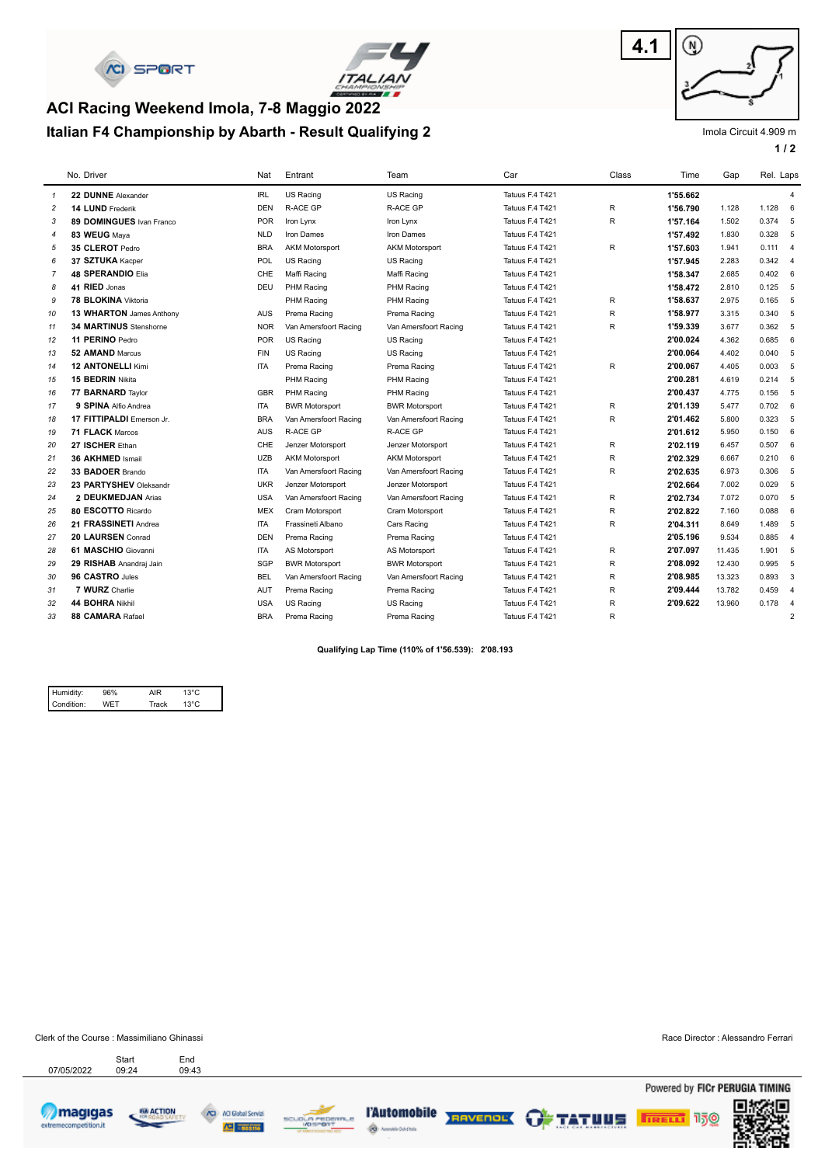



# **Italian F4 Championship by Abarth - Result Qualifying 2 ACI Racing Weekend Imola, 7-8 Maggio 2022**



Imola Circuit 4.909 m

**1 / 2**

|                | No. Driver                    | Nat        | Entrant                | Team                  | Car             | Class        | Time     | Gap    | Rel. Laps   |                |
|----------------|-------------------------------|------------|------------------------|-----------------------|-----------------|--------------|----------|--------|-------------|----------------|
| $\mathbf{1}$   | 22 DUNNE Alexander            | <b>IRL</b> | US Racing              | US Racing             | Tatuus F.4 T421 |              | 1'55.662 |        |             | $\overline{4}$ |
| $\overline{c}$ | 14 LUND Frederik              | <b>DEN</b> | <b>R-ACE GP</b>        | <b>R-ACE GP</b>       | Tatuus F.4 T421 | R            | 1'56.790 | 1.128  | $1.128$ 6   |                |
| 3              | 89 DOMINGUES Ivan Franco      | <b>POR</b> | Iron Lynx              | Iron Lynx             | Tatuus F.4 T421 | R            | 1'57.164 | 1.502  | 0.374       | 5              |
| $\overline{4}$ | 83 WEUG Maya                  | <b>NLD</b> | Iron Dames             | Iron Dames            | Tatuus F.4 T421 |              | 1'57.492 | 1.830  | 0.328       | 5              |
| 5              | 35 CLEROT Pedro               | <b>BRA</b> | <b>AKM Motorsport</b>  | <b>AKM Motorsport</b> | Tatuus F.4 T421 | R            | 1'57.603 | 1.941  | $0.111 - 4$ |                |
| 6              | 37 SZTUKA Kacper              | POL        | US Racing              | US Racing             | Tatuus F.4 T421 |              | 1'57.945 | 2.283  | 0.342       | $\overline{4}$ |
| $\overline{7}$ | <b>48 SPERANDIO Elia</b>      | <b>CHE</b> | Maffi Racing           | Maffi Racing          | Tatuus F.4 T421 |              | 1'58.347 | 2.685  | 0.402       | 6              |
| 8              | 41 RIED Jonas                 | <b>DEU</b> | PHM Racing             | PHM Racing            | Tatuus F.4 T421 |              | 1'58.472 | 2.810  | $0.125 - 5$ |                |
| 9              | 78 BLOKINA Viktoria           |            | PHM Racing             | PHM Racing            | Tatuus F.4 T421 | R            | 1'58.637 | 2.975  | 0.165       | 5              |
| 10             | 13 WHARTON James Anthony      | <b>AUS</b> | Prema Racing           | Prema Racing          | Tatuus F.4 T421 | R            | 1'58.977 | 3.315  | 0.340       | 5              |
| 11             | <b>34 MARTINUS Stenshorne</b> | <b>NOR</b> | Van Amersfoort Racing  | Van Amersfoort Racing | Tatuus F.4 T421 | $\mathsf R$  | 1'59.339 | 3.677  | 0.362 5     |                |
| 12             | 11 PERINO Pedro               | <b>POR</b> | US Racing              | US Racing             | Tatuus F.4 T421 |              | 2'00.024 | 4.362  | 0.685       | 6              |
| 13             | 52 AMAND Marcus               | <b>FIN</b> | <b>US Racing</b>       | US Racing             | Tatuus F.4 T421 |              | 2'00.064 | 4.402  | 0.040       | 5              |
| 14             | <b>12 ANTONELLI Kimi</b>      | <b>ITA</b> | Prema Racing           | Prema Racing          | Tatuus F.4 T421 | R            | 2'00.067 | 4.405  | 0.003       | 5              |
| 15             | 15 BEDRIN Nikita              |            | PHM Racing             | PHM Racing            | Tatuus F.4 T421 |              | 2'00.281 | 4.619  | $0.214$ 5   |                |
| 16             | 77 BARNARD Taylor             | <b>GBR</b> | PHM Racing             | PHM Racing            | Tatuus F.4 T421 |              | 2'00.437 | 4.775  | 0.156       | 5              |
| 17             | 9 SPINA Alfio Andrea          | <b>ITA</b> | <b>BWR Motorsport</b>  | <b>BWR Motorsport</b> | Tatuus F.4 T421 | $\mathsf R$  | 2'01.139 | 5.477  | 0.702       | 6              |
| 18             | 17 FITTIPALDI Emerson Jr.     | <b>BRA</b> | Van Amersfoort Racing  | Van Amersfoort Racing | Tatuus F.4 T421 | R            | 2'01.462 | 5.800  | 0.323       | 5              |
| 19             | 71 FLACK Marcos               | AUS        | <b>R-ACE GP</b>        | R-ACE GP              | Tatuus F.4 T421 |              | 2'01.612 | 5.950  | 0.150       | 6              |
| 20             | 27 ISCHER Ethan               | CHE        | Jenzer Motorsport      | Jenzer Motorsport     | Tatuus F.4 T421 | $\mathsf{R}$ | 2'02.119 | 6.457  | 0.507       | 6              |
| 21             | 36 AKHMED Ismail              | <b>UZB</b> | <b>AKM Motorsport</b>  | <b>AKM Motorsport</b> | Tatuus F.4 T421 | R            | 2'02.329 | 6.667  | 0.210       | 6              |
| 22             | 33 BADOER Brando              | <b>ITA</b> | Van Amersfoort Racing  | Van Amersfoort Racing | Tatuus F.4 T421 | $\mathsf{R}$ | 2'02.635 | 6.973  | 0.306       | 5              |
| 23             | 23 PARTYSHEV Oleksandr        | <b>UKR</b> | Jenzer Motorsport      | Jenzer Motorsport     | Tatuus F.4 T421 |              | 2'02.664 | 7.002  | 0.029       | 5              |
| 24             | 2 DEUKMEDJAN Arias            | <b>USA</b> | Van Amersfoort Racing  | Van Amersfoort Racing | Tatuus F.4 T421 | $\mathsf{R}$ | 2'02.734 | 7.072  | 0.070       | 5              |
| 25             | 80 ESCOTTO Ricardo            | <b>MEX</b> | <b>Cram Motorsport</b> | Cram Motorsport       | Tatuus F.4 T421 | R            | 2'02.822 | 7.160  | 0.088       | 6              |
| 26             | 21 FRASSINETI Andrea          | <b>ITA</b> | Frassineti Albano      | Cars Racing           | Tatuus F.4 T421 | R            | 2'04.311 | 8.649  | 1.489       | 5              |
| 27             | 20 LAURSEN Conrad             | <b>DEN</b> | Prema Racing           | Prema Racing          | Tatuus F.4 T421 |              | 2'05.196 | 9.534  | 0.885       | $\overline{4}$ |
| 28             | 61 MASCHIO Giovanni           | <b>ITA</b> | AS Motorsport          | AS Motorsport         | Tatuus F.4 T421 | R            | 2'07.097 | 11.435 | 1.901 5     |                |
| 29             | 29 RISHAB Anandraj Jain       | SGP        | <b>BWR Motorsport</b>  | <b>BWR Motorsport</b> | Tatuus F.4 T421 | R            | 2'08.092 | 12.430 | 0.995       | 5              |
| 30             | 96 CASTRO Jules               | <b>BEL</b> | Van Amersfoort Racing  | Van Amersfoort Racing | Tatuus F.4 T421 | $\mathsf R$  | 2'08.985 | 13.323 | 0.893       | 3              |
| 31             | 7 WURZ Charlie                | <b>AUT</b> | Prema Racing           | Prema Racing          | Tatuus F.4 T421 | R            | 2'09.444 | 13.782 | 0.459       | $\overline{4}$ |
| 32             | 44 BOHRA Nikhil               | <b>USA</b> | US Racing              | US Racing             | Tatuus F.4 T421 | $\sf R$      | 2'09.622 | 13.960 | 0.178       | $\overline{4}$ |
| 33             | 88 CAMARA Rafael              | <b>BRA</b> | Prema Racing           | Prema Racing          | Tatuus F.4 T421 | R            |          |        |             | $\overline{2}$ |

**Qualifying Lap Time (110% of 1'56.539): 2'08.193** 

| Humidity:  | ነና% | AIR   | 13°C           |  |
|------------|-----|-------|----------------|--|
| Condition: |     | Track | $13^{\circ}$ C |  |

Clerk of the Course : Massimiliano Ghinassi Race Director : Alessandro Ferrari Start

Start End<br>07/05/2022 09:24 09:43











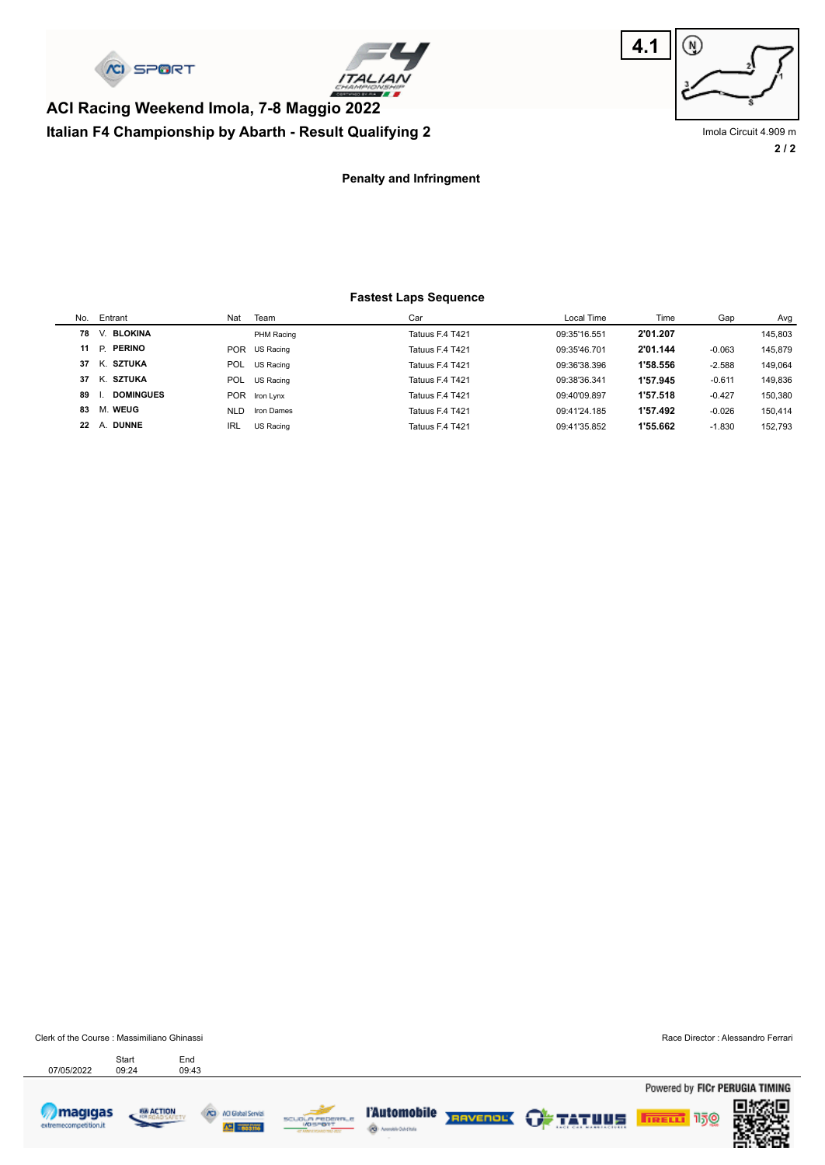

**Italian F4 Championship by Abarth - Result Qualifying 2**





**2 / 2** Imola Circuit 4.909 m

#### **Penalty and Infringment**

#### **Fastest Laps Sequence**

| No. | Entrant          | Nat        | Team          | Car             | Local Time   | Time     | Gap      | Avg     |
|-----|------------------|------------|---------------|-----------------|--------------|----------|----------|---------|
| 78  | V. BLOKINA       |            | PHM Racing    | Tatuus F.4 T421 | 09:35'16.551 | 2'01.207 |          | 145.803 |
| 11  | P. PERINO        | POR        | US Racing     | Tatuus F.4 T421 | 09:35'46.701 | 2'01.144 | $-0.063$ | 145.879 |
| 37  | K. SZTUKA        | POL        | US Racing     | Tatuus F.4 T421 | 09:36'38.396 | 1'58.556 | $-2.588$ | 149.064 |
| 37  | K. SZTUKA        | POL        | US Racing     | Tatuus F.4 T421 | 09:38'36.341 | 1'57.945 | $-0.611$ | 149.836 |
| 89  | <b>DOMINGUES</b> |            | POR Iron Lynx | Tatuus F.4 T421 | 09:40'09.897 | 1'57.518 | $-0.427$ | 150.380 |
| 83  | M. WEUG          | <b>NLD</b> | Iron Dames    | Tatuus F.4 T421 | 09:41'24.185 | 1'57.492 | $-0.026$ | 150.414 |
| 22  | A. DUNNE         | <b>IRL</b> | US Racing     | Tatuus F.4 T421 | 09:41'35.852 | 1'55.662 | $-1.830$ | 152.793 |
|     |                  |            |               |                 |              |          |          |         |

Clerk of the Course : Massimiliano Ghinassi Race Director : Alessandro Ferrari Start End<br>07/05/2022 09:24 09:43 Start

Powered by FICr PERUGIA TIMING



ACI Global Servi







**TRELL** 150

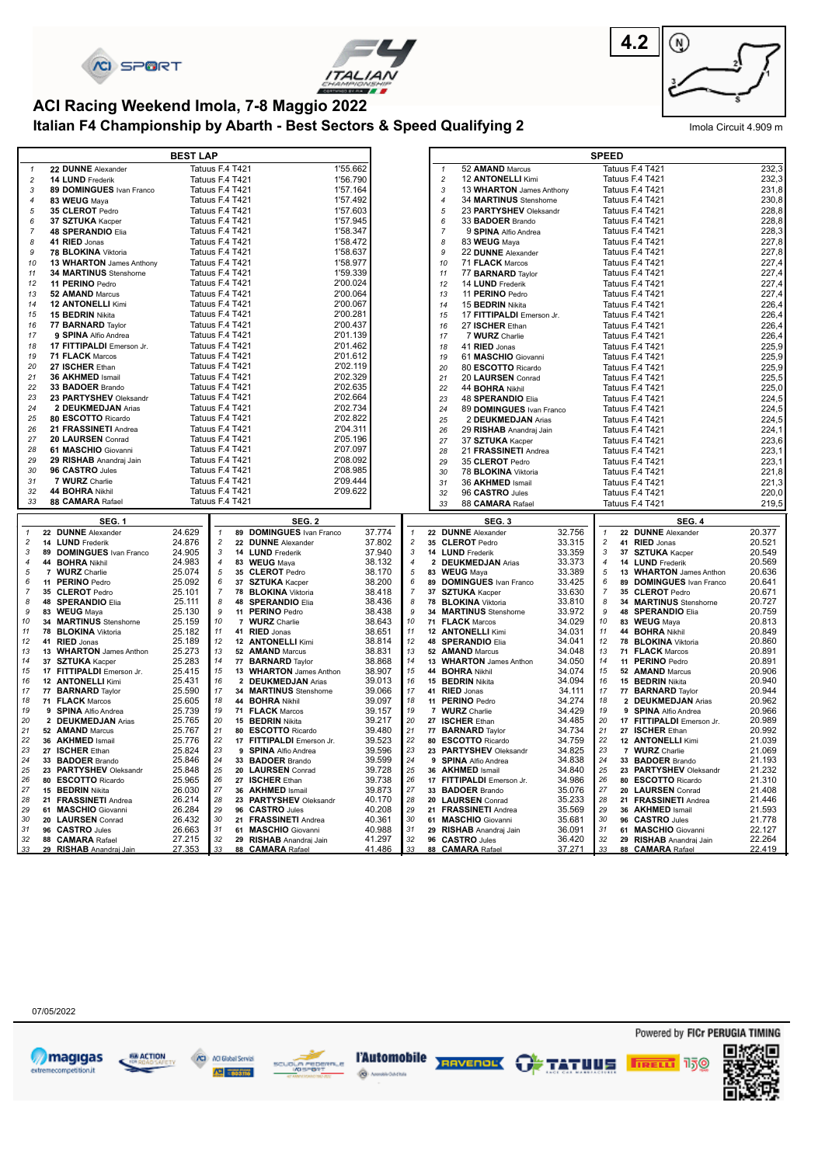





# **ACI Racing Weekend Imola, 7-8 Maggio 2022**

## **Italian F4 Championship by Abarth - Best Sectors & Speed Qualifying 2** Imola Circuit 4.909 m

| Tatuus F.4 T421<br>52 AMAND Marcus<br>22 DUNNE Alexander<br>Tatuus F.4 T421<br>1'55.662<br>$\mathbf{1}$<br>$\mathbf{1}$<br>Tatuus F.4 T421<br>$\overline{c}$<br>12 ANTONELLI Kimi<br>Tatuus F.4 T421<br>$\sqrt{2}$<br>14 LUND Frederik<br>1'56.790<br>$\mathfrak{Z}$<br>13 WHARTON James Anthony<br>Tatuus F.4 T421<br>3<br>89 DOMINGUES Ivan Franco<br>Tatuus F.4 T421<br>1'57.164<br>34 MARTINUS Stenshorne<br>Tatuus F.4 T421<br>83 WEUG Maya<br>Tatuus F.4 T421<br>1'57.492<br>$\overline{4}$<br>$\overline{4}$<br>Tatuus F.4 T421<br>35 CLEROT Pedro<br>Tatuus F.4 T421<br>1'57.603<br>5<br>23 PARTYSHEV Oleksandr<br>5<br>Tatuus F.4 T421<br>1'57.945<br>Tatuus F.4 T421<br>6<br>37 SZTUKA Kacper<br>6<br>33 <b>BADOER</b> Brando<br>$\overline{7}$<br>$\overline{7}$<br><b>48 SPERANDIO Elia</b><br>Tatuus F.4 T421<br>1'58.347<br>9 SPINA Alfio Andrea<br>Tatuus F.4 T421<br>41 RIED Jonas<br>Tatuus F.4 T421<br>1'58.472<br>83 WEUG Mava<br>Tatuus F.4 T421<br>8<br>8<br>78 BLOKINA Viktoria<br>1'58.637<br>22 DUNNE Alexander<br>9<br>Tatuus F.4 T421<br>9<br>Tatuus F.4 T421<br>10<br>13 WHARTON James Anthony<br>Tatuus F.4 T421<br>1'58.977<br>10<br>71 FLACK Marcos<br>Tatuus F.4 T421<br>34 MARTINUS Stenshorne<br>Tatuus F.4 T421<br>1'59.339<br>11<br>77 <b>BARNARD</b> Taylor<br>Tatuus F.4 T421<br>11<br>11 PERINO Pedro<br>Tatuus F.4 T421<br>2'00.024<br>12<br>14 LUND Frederik<br>12<br>Tatuus F.4 T421<br>2'00.064<br>52 AMAND Marcus<br>Tatuus F.4 T421<br>13<br>11 PERINO Pedro<br>Tatuus F.4 T421<br>13<br><b>12 ANTONELLI Kimi</b><br>Tatuus F.4 T421<br>2'00.067<br>Tatuus F.4 T421<br>14<br>14<br>15 <b>BEDRIN</b> Nikita<br>15 BEDRIN Nikita<br>Tatuus F.4 T421<br>2'00.281<br>15<br>15<br>17 FITTIPALDI Emerson Jr.<br>Tatuus F.4 T421<br>2'00.437<br>77 BARNARD Taylor<br>Tatuus F.4 T421<br>16<br>16<br>27 ISCHER Ethan<br>Tatuus F.4 T421<br>17<br>9 SPINA Alfio Andrea<br>Tatuus F.4 T421<br>2'01.139<br>7 WURZ Charlie<br>17<br>Tatuus F.4 T421<br>17 FITTIPALDI Emerson Jr.<br>Tatuus F.4 T421<br>2'01.462<br>18<br>18<br>41 RIED Jonas<br>Tatuus F.4 T421<br>Tatuus F.4 T421<br>2'01.612<br>19<br>71 FLACK Marcos<br>19<br>61 MASCHIO Giovanni<br>Tatuus F.4 T421<br>Tatuus F.4 T421<br>2'02.119<br>20<br>27 ISCHER Ethan<br>20<br>Tatuus F.4 T421<br>80 ESCOTTO Ricardo<br>Tatuus F.4 T421<br>2'02.329<br>21<br>36 AKHMED Ismail<br>21<br>20 LAURSEN Conrad<br>Tatuus F.4 T421<br>33 BADOER Brando<br>Tatuus F.4 T421<br>2'02.635<br>22<br>44 BOHRA Nikhil<br>22<br>Tatuus F.4 T421<br>2'02.664<br>23 PARTYSHEV Oleksandr<br>Tatuus F.4 T421<br>23<br>23<br>48 SPERANDIO Elia<br>Tatuus F.4 T421<br>24<br>2 DEUKMEDJAN Arias<br>Tatuus F.4 T421<br>2'02.734<br>24<br>89 DOMINGUES Ivan Franco<br>Tatuus F.4 T421<br>80 ESCOTTO Ricardo<br>Tatuus F.4 T421<br>2'02.822<br>25<br>25<br>2 DEUKMEDJAN Arias<br>Tatuus F.4 T421<br>Tatuus F.4 T421<br>2'04.311<br>26<br>21 FRASSINETI Andrea<br>26<br>29 RISHAB Anandraj Jain<br>Tatuus F.4 T421<br>2'05.196<br>27<br>20 LAURSEN Conrad<br>Tatuus F.4 T421<br>27<br>Tatuus F.4 T421<br>37 SZTUKA Kacper<br>Tatuus F.4 T421<br>2'07.097<br>61 MASCHIO Giovanni<br>28<br>28<br>Tatuus F.4 T421<br>21 FRASSINETI Andrea<br>29 RISHAB Anandraj Jain<br>Tatuus F.4 T421<br>2'08.092<br>29<br>29<br>35 CLEROT Pedro<br>Tatuus F.4 T421<br>Tatuus F.4 T421<br>2'08.985<br>30<br>96 CASTRO Jules<br>78 BLOKINA Viktoria<br>Tatuus F.4 T421<br>30<br>31<br>7 WURZ Charlie<br>Tatuus F.4 T421<br>2'09.444<br>31<br>36 AKHMED Ismail<br>Tatuus F.4 T421<br>44 BOHRA Nikhil<br>Tatuus F.4 T421<br>2'09.622<br>32<br>32<br>96 CASTRO Jules<br>Tatuus F.4 T421<br>88 CAMARA Rafael<br>Tatuus F.4 T421<br>33<br>33<br>88 CAMARA Rafael<br>Tatuus F.4 T421<br><b>SEG. 2</b><br><b>SEG. 1</b><br>SEG.3<br><b>SEG. 4</b><br>$\mathbf{1}$<br>$\mathbf{1}$<br>24.629<br>37.774<br>32.756<br>22 DUNNE Alexander<br>$\mathbf{1}$<br>89 DOMINGUES Ivan Franco<br>22 DUNNE Alexander<br>$\mathbf{1}$<br>22 DUNNE Alexander<br>$\overline{\mathbf{c}}$<br>24.876<br>$\overline{c}$<br>22 DUNNE Alexander<br>37.802<br>$\overline{c}$<br>33.315<br>$\overline{\mathbf{c}}$<br>41 RIED Jonas<br>14 LUND Frederik<br>35 CLEROT Pedro<br>24.905<br>37.940<br>33.359<br>$\sqrt{3}$<br>$\sqrt{3}$<br>3<br>14 LUND Frederik<br>$\ensuremath{\mathsf{3}}$<br>14 LUND Frederik<br>37 SZTUKA Kacper<br>89 DOMINGUES Ivan Franco<br>24.983<br>38.132<br>33.373<br>$\sqrt{4}$<br>$\boldsymbol{4}$<br>44 BOHRA Nikhil<br>4<br>83 WEUG Maya<br>4<br>2 DEUKMEDJAN Arias<br>14 LUND Frederik<br>25.074<br>38.170<br>33.389<br>5<br>5<br>5<br>5<br>13 WHARTON James Anthon<br>7 WURZ Charlie<br>35 CLEROT Pedro<br>83 WEUG Maya<br>38.200<br>6<br>11 PERINO Pedro<br>25.092<br>6<br>37 SZTUKA Kacper<br>6<br>89 DOMINGUES Ivan Franco<br>33.425<br>6<br>89 DOMINGUES Ivan Franco<br>38.418<br>$\overline{7}$<br>$\overline{7}$<br>35 CLEROT Pedro<br>25.101<br>$\overline{7}$<br>78 BLOKINA Viktoria<br>$\overline{7}$<br>37 SZTUKA Kacper<br>33.630<br>35 CLEROT Pedro<br>$\boldsymbol{8}$<br>8<br>48 SPERANDIO Elia<br>8<br>48 SPERANDIO Elia<br>38.436<br>8<br>78 BLOKINA Viktoria<br>33.810<br>25.111<br>34 MARTINUS Stenshorne<br>9<br>9<br>9<br>9<br>38.438<br>83 WEUG Maya<br>25.130<br>11 PERINO Pedro<br>34 MARTINUS Stenshorne<br>33.972<br>48 SPERANDIO Elia<br>10<br>10<br>10<br>10<br>34 MARTINUS Stenshorne<br>25.159<br>7 WURZ Charlie<br>38.643<br>71 FLACK Marcos<br>34.029<br>83 WEUG Maya<br>11<br>78 BLOKINA Viktoria<br>11<br>41 RIED Jonas<br>38.651<br>11<br>12 ANTONELLI Kimi<br>34.031<br>11<br>44 BOHRA Nikhil<br>25.182<br>12<br>12<br>12<br>12<br>41 RIED Jonas<br>25.189<br>12 ANTONELLI Kimi<br>38.814<br>48 SPERANDIO Elia<br>34.041<br>78 BLOKINA Viktoria<br>13<br>38.831<br>13<br>34.048<br>13<br>13<br>13 WHARTON James Anthon<br>25.273<br>52 AMAND Marcus<br>52 AMAND Marcus<br>71 FLACK Marcos<br>$14$<br>14<br>25.283<br>38.868<br>14<br>34.050<br>11 PERINO Pedro<br>14<br>37 SZTUKA Kacper<br>77 BARNARD Taylor<br>13 WHARTON James Anthon<br>15<br>15<br>15<br>15<br>25.415<br>13 WHARTON James Anthon<br>38.907<br>44 BOHRA Nikhil<br>34.074<br>52 AMAND Marcus<br>17 FITTIPALDI Emerson Jr.<br>25.431<br>16<br>39.013<br>16<br>34.094<br>16<br>16<br>12 ANTONELLI Kimi<br>2 DEUKMEDJAN Arias<br>15 BEDRIN Nikita<br>15 BEDRIN Nikita<br>39.066<br>25.590<br>17<br>17<br>34.111<br>17<br>77 BARNARD Taylor<br>34 MARTINUS Stenshorne<br>41 RIED Jonas<br>77 BARNARD Taylor<br>17<br>25.605<br>39.097<br>34.274<br>18<br>18<br>18<br>44 BOHRA Nikhil<br>11 PERINO Pedro<br>2 DEUKMEDJAN Arias<br>18<br>71 FLACK Marcos<br>25.739<br>39.157<br>19<br>34.429<br>19<br>19<br>9 SPINA Alfio Andrea<br>19<br>71 FLACK Marcos<br>7 WURZ Charlie<br>9 SPINA Alfio Andrea<br>25.765<br>20<br>39.217<br>20<br>34.485<br>20<br>17 FITTIPALDI Emerson Jr.<br>20<br>2 DEUKMEDJAN Arias<br>15 <b>BEDRIN</b> Nikita<br>27 ISCHER Ethan<br>25.767<br>39.480<br>34.734<br>21<br>52 AMAND Marcus<br>21<br>80 ESCOTTO Ricardo<br>21<br>77 BARNARD Taylor<br>21<br>27 ISCHER Ethan<br>25.776<br>39.523<br>22<br>34.759<br>36 AKHMED Ismail<br>22<br>22<br>12 ANTONELLI Kimi<br>22<br>17 FITTIPALDI Emerson Jr.<br>80 ESCOTTO Ricardo<br>23<br>23<br>39.596<br>34.825<br>23<br>23<br>27 ISCHER Ethan<br>25.824<br>9 SPINA Alfio Andrea<br>23 PARTYSHEV Oleksandr<br>7 WURZ Charlie<br>24<br>24<br>33 BADOER Brando<br>25.846<br>24<br>33 BADOER Brando<br>39.599<br>9 SPINA Alfio Andrea<br>34.838<br>24<br>33 BADOER Brando<br>25<br>25<br>39.728<br>25<br>34.840<br>25<br>23 PARTYSHEV Oleksandr<br>25.848<br>20 LAURSEN Conrad<br>36 AKHMED Ismail<br>23 PARTYSHEV Oleksandr<br>26<br>25.965<br>26<br>27 ISCHER Ethan<br>39.738<br>26<br>34.986<br>26<br>80 ESCOTTO Ricardo<br>80 ESCOTTO Ricardo<br>17 FITTIPALDI Emerson Jr.<br>27<br>27<br>27<br>27<br>26.030<br>39.873<br>35.076<br>15 BEDRIN Nikita<br>36 AKHMED Ismail<br>33 BADOER Brando<br>20 LAURSEN Conrad<br>28<br>28<br>40.170<br>35.233<br>28<br>28<br>21 FRASSINETI Andrea<br>26.214<br>23 PARTYSHEV Oleksandr<br>20 LAURSEN Conrad<br>21 FRASSINETI Andrea<br>29<br>29<br>29<br>26.284<br>40.208<br>35.569<br>29<br>36 AKHMED Ismail<br>61 MASCHIO Giovanni<br>96 CASTRO Jules<br>21 FRASSINETI Andrea<br>30<br>40.361<br>30<br>30<br>30<br>26.432<br>21 FRASSINETI Andrea<br>35.681<br>96 CASTRO Jules<br>20 LAURSEN Conrad<br>61 MASCHIO Giovanni<br>31<br>40.988<br>31<br>36.091<br>26.663<br>31<br>31<br>96 CASTRO Jules<br>61 MASCHIO Giovanni<br>29 RISHAB Anandraj Jain<br>61 MASCHIO Giovanni | 232,3<br>232,3<br>231,8<br>230,8<br>228,8<br>228,8<br>228,3<br>227,8<br>227,8<br>227,4<br>227,4<br>227,4<br>227,4<br>226,4<br>226,4<br>226,4<br>226,4<br>225,9<br>225,9<br>225,9<br>225,5<br>225,0<br>224,5<br>224,5<br>224,5<br>224,1<br>223,6<br>223,1<br>223,1<br>221,8<br>221,3<br>220,0<br>219,5<br>20.377<br>20.521<br>20.549<br>20.569<br>20.636<br>20.641<br>20.671<br>20.727<br>20.759<br>20.813<br>20.849<br>20.860<br>20.891<br>20.891<br>20.906<br>20.940<br>20.944<br>20.962<br>20.966<br>20.989<br>20.992<br>21.039<br>21.069<br>21.193<br>21.232<br>21.310<br>21.408<br>21.446<br>21.593<br>21.778<br>22.127<br>41.297<br>36.420<br>27.215<br>32<br>32<br>32<br>22.264<br>29 RISHAB Anandraj Jain<br>96 CASTRO Jules<br>29 RISHAB Anandraj Jain |    | <b>BEST LAP</b> |  |  |  |  | <b>SPEED</b> |  |  |
|----------------------------------------------------------------------------------------------------------------------------------------------------------------------------------------------------------------------------------------------------------------------------------------------------------------------------------------------------------------------------------------------------------------------------------------------------------------------------------------------------------------------------------------------------------------------------------------------------------------------------------------------------------------------------------------------------------------------------------------------------------------------------------------------------------------------------------------------------------------------------------------------------------------------------------------------------------------------------------------------------------------------------------------------------------------------------------------------------------------------------------------------------------------------------------------------------------------------------------------------------------------------------------------------------------------------------------------------------------------------------------------------------------------------------------------------------------------------------------------------------------------------------------------------------------------------------------------------------------------------------------------------------------------------------------------------------------------------------------------------------------------------------------------------------------------------------------------------------------------------------------------------------------------------------------------------------------------------------------------------------------------------------------------------------------------------------------------------------------------------------------------------------------------------------------------------------------------------------------------------------------------------------------------------------------------------------------------------------------------------------------------------------------------------------------------------------------------------------------------------------------------------------------------------------------------------------------------------------------------------------------------------------------------------------------------------------------------------------------------------------------------------------------------------------------------------------------------------------------------------------------------------------------------------------------------------------------------------------------------------------------------------------------------------------------------------------------------------------------------------------------------------------------------------------------------------------------------------------------------------------------------------------------------------------------------------------------------------------------------------------------------------------------------------------------------------------------------------------------------------------------------------------------------------------------------------------------------------------------------------------------------------------------------------------------------------------------------------------------------------------------------------------------------------------------------------------------------------------------------------------------------------------------------------------------------------------------------------------------------------------------------------------------------------------------------------------------------------------------------------------------------------------------------------------------------------------------------------------------------------------------------------------------------------------------------------------------------------------------------------------------------------------------------------------------------------------------------------------------------------------------------------------------------------------------------------------------------------------------------------------------------------------------------------------------------------------------------------------------------------------------------------------------------------------------------------------------------------------------------------------------------------------------------------------------------------------------------------------------------------------------------------------------------------------------------------------------------------------------------------------------------------------------------------------------------------------------------------------------------------------------------------------------------------------------------------------------------------------------------------------------------------------------------------------------------------------------------------------------------------------------------------------------------------------------------------------------------------------------------------------------------------------------------------------------------------------------------------------------------------------------------------------------------------------------------------------------------------------------------------------------------------------------------------------------------------------------------------------------------------------------------------------------------------------------------------------------------------------------------------------------------------------------------------------------------------------------------------------------------------------------------------------------------------------------------------------------------------------------------------------------------------------------------------------------------------------------------------------------------------------------------------------------------------------------------------------------------------------------------------------------------------------------------------------------------------------------------------------------------------------------------------------------------------------------------------------------------------------------------------------------------------------------------------------------------------------------------------------------------------------------------------------------------------------------------------------------------------------------------------------------------------------------------------------------------------------------------------------------------------------------------------------------------------------------------------------------------------------------------------------------------------------------------------------------------------------------------------------------------------------------------------------------------------------------------------------------------------------------------------------------------------------------------------------------------------------------------------------------------------------------------------------------------------------------------------------------------------------------------------------------------------------------------------------------------------------------------------------------------------------------------------------------------------------------------------------------------------------------------------------------------------------------------------------------------------------------------------------------------------------------------------------------------------------------------------------------------------------------------------------------------------------------------------------------------------------------------------------------------------------------------------------------------|----------------------------------------------------------------------------------------------------------------------------------------------------------------------------------------------------------------------------------------------------------------------------------------------------------------------------------------------------------------------------------------------------------------------------------------------------------------------------------------------------------------------------------------------------------------------------------------------------------------------------------------------------------------------------------------------------------------------------------------------------------------|----|-----------------|--|--|--|--|--------------|--|--|
|                                                                                                                                                                                                                                                                                                                                                                                                                                                                                                                                                                                                                                                                                                                                                                                                                                                                                                                                                                                                                                                                                                                                                                                                                                                                                                                                                                                                                                                                                                                                                                                                                                                                                                                                                                                                                                                                                                                                                                                                                                                                                                                                                                                                                                                                                                                                                                                                                                                                                                                                                                                                                                                                                                                                                                                                                                                                                                                                                                                                                                                                                                                                                                                                                                                                                                                                                                                                                                                                                                                                                                                                                                                                                                                                                                                                                                                                                                                                                                                                                                                                                                                                                                                                                                                                                                                                                                                                                                                                                                                                                                                                                                                                                                                                                                                                                                                                                                                                                                                                                                                                                                                                                                                                                                                                                                                                                                                                                                                                                                                                                                                                                                                                                                                                                                                                                                                                                                                                                                                                                                                                                                                                                                                                                                                                                                                                                                                                                                                                                                                                                                                                                                                                                                                                                                                                                                                                                                                                                                                                                                                                                                                                                                                                                                                                                                                                                                                                                                                                                                                                                                                                                                                                                                                                                                                                                                                                                                                                                                                                                                                                                                                                                                                                                                                                                                                                                                                                                                                                                                                                        |                                                                                                                                                                                                                                                                                                                                                                                                                                                                                                                                                                                                                                                                                                                                                                |    |                 |  |  |  |  |              |  |  |
|                                                                                                                                                                                                                                                                                                                                                                                                                                                                                                                                                                                                                                                                                                                                                                                                                                                                                                                                                                                                                                                                                                                                                                                                                                                                                                                                                                                                                                                                                                                                                                                                                                                                                                                                                                                                                                                                                                                                                                                                                                                                                                                                                                                                                                                                                                                                                                                                                                                                                                                                                                                                                                                                                                                                                                                                                                                                                                                                                                                                                                                                                                                                                                                                                                                                                                                                                                                                                                                                                                                                                                                                                                                                                                                                                                                                                                                                                                                                                                                                                                                                                                                                                                                                                                                                                                                                                                                                                                                                                                                                                                                                                                                                                                                                                                                                                                                                                                                                                                                                                                                                                                                                                                                                                                                                                                                                                                                                                                                                                                                                                                                                                                                                                                                                                                                                                                                                                                                                                                                                                                                                                                                                                                                                                                                                                                                                                                                                                                                                                                                                                                                                                                                                                                                                                                                                                                                                                                                                                                                                                                                                                                                                                                                                                                                                                                                                                                                                                                                                                                                                                                                                                                                                                                                                                                                                                                                                                                                                                                                                                                                                                                                                                                                                                                                                                                                                                                                                                                                                                                                                        |                                                                                                                                                                                                                                                                                                                                                                                                                                                                                                                                                                                                                                                                                                                                                                |    |                 |  |  |  |  |              |  |  |
|                                                                                                                                                                                                                                                                                                                                                                                                                                                                                                                                                                                                                                                                                                                                                                                                                                                                                                                                                                                                                                                                                                                                                                                                                                                                                                                                                                                                                                                                                                                                                                                                                                                                                                                                                                                                                                                                                                                                                                                                                                                                                                                                                                                                                                                                                                                                                                                                                                                                                                                                                                                                                                                                                                                                                                                                                                                                                                                                                                                                                                                                                                                                                                                                                                                                                                                                                                                                                                                                                                                                                                                                                                                                                                                                                                                                                                                                                                                                                                                                                                                                                                                                                                                                                                                                                                                                                                                                                                                                                                                                                                                                                                                                                                                                                                                                                                                                                                                                                                                                                                                                                                                                                                                                                                                                                                                                                                                                                                                                                                                                                                                                                                                                                                                                                                                                                                                                                                                                                                                                                                                                                                                                                                                                                                                                                                                                                                                                                                                                                                                                                                                                                                                                                                                                                                                                                                                                                                                                                                                                                                                                                                                                                                                                                                                                                                                                                                                                                                                                                                                                                                                                                                                                                                                                                                                                                                                                                                                                                                                                                                                                                                                                                                                                                                                                                                                                                                                                                                                                                                                                        |                                                                                                                                                                                                                                                                                                                                                                                                                                                                                                                                                                                                                                                                                                                                                                |    |                 |  |  |  |  |              |  |  |
|                                                                                                                                                                                                                                                                                                                                                                                                                                                                                                                                                                                                                                                                                                                                                                                                                                                                                                                                                                                                                                                                                                                                                                                                                                                                                                                                                                                                                                                                                                                                                                                                                                                                                                                                                                                                                                                                                                                                                                                                                                                                                                                                                                                                                                                                                                                                                                                                                                                                                                                                                                                                                                                                                                                                                                                                                                                                                                                                                                                                                                                                                                                                                                                                                                                                                                                                                                                                                                                                                                                                                                                                                                                                                                                                                                                                                                                                                                                                                                                                                                                                                                                                                                                                                                                                                                                                                                                                                                                                                                                                                                                                                                                                                                                                                                                                                                                                                                                                                                                                                                                                                                                                                                                                                                                                                                                                                                                                                                                                                                                                                                                                                                                                                                                                                                                                                                                                                                                                                                                                                                                                                                                                                                                                                                                                                                                                                                                                                                                                                                                                                                                                                                                                                                                                                                                                                                                                                                                                                                                                                                                                                                                                                                                                                                                                                                                                                                                                                                                                                                                                                                                                                                                                                                                                                                                                                                                                                                                                                                                                                                                                                                                                                                                                                                                                                                                                                                                                                                                                                                                                        |                                                                                                                                                                                                                                                                                                                                                                                                                                                                                                                                                                                                                                                                                                                                                                |    |                 |  |  |  |  |              |  |  |
|                                                                                                                                                                                                                                                                                                                                                                                                                                                                                                                                                                                                                                                                                                                                                                                                                                                                                                                                                                                                                                                                                                                                                                                                                                                                                                                                                                                                                                                                                                                                                                                                                                                                                                                                                                                                                                                                                                                                                                                                                                                                                                                                                                                                                                                                                                                                                                                                                                                                                                                                                                                                                                                                                                                                                                                                                                                                                                                                                                                                                                                                                                                                                                                                                                                                                                                                                                                                                                                                                                                                                                                                                                                                                                                                                                                                                                                                                                                                                                                                                                                                                                                                                                                                                                                                                                                                                                                                                                                                                                                                                                                                                                                                                                                                                                                                                                                                                                                                                                                                                                                                                                                                                                                                                                                                                                                                                                                                                                                                                                                                                                                                                                                                                                                                                                                                                                                                                                                                                                                                                                                                                                                                                                                                                                                                                                                                                                                                                                                                                                                                                                                                                                                                                                                                                                                                                                                                                                                                                                                                                                                                                                                                                                                                                                                                                                                                                                                                                                                                                                                                                                                                                                                                                                                                                                                                                                                                                                                                                                                                                                                                                                                                                                                                                                                                                                                                                                                                                                                                                                                                        |                                                                                                                                                                                                                                                                                                                                                                                                                                                                                                                                                                                                                                                                                                                                                                |    |                 |  |  |  |  |              |  |  |
|                                                                                                                                                                                                                                                                                                                                                                                                                                                                                                                                                                                                                                                                                                                                                                                                                                                                                                                                                                                                                                                                                                                                                                                                                                                                                                                                                                                                                                                                                                                                                                                                                                                                                                                                                                                                                                                                                                                                                                                                                                                                                                                                                                                                                                                                                                                                                                                                                                                                                                                                                                                                                                                                                                                                                                                                                                                                                                                                                                                                                                                                                                                                                                                                                                                                                                                                                                                                                                                                                                                                                                                                                                                                                                                                                                                                                                                                                                                                                                                                                                                                                                                                                                                                                                                                                                                                                                                                                                                                                                                                                                                                                                                                                                                                                                                                                                                                                                                                                                                                                                                                                                                                                                                                                                                                                                                                                                                                                                                                                                                                                                                                                                                                                                                                                                                                                                                                                                                                                                                                                                                                                                                                                                                                                                                                                                                                                                                                                                                                                                                                                                                                                                                                                                                                                                                                                                                                                                                                                                                                                                                                                                                                                                                                                                                                                                                                                                                                                                                                                                                                                                                                                                                                                                                                                                                                                                                                                                                                                                                                                                                                                                                                                                                                                                                                                                                                                                                                                                                                                                                                        |                                                                                                                                                                                                                                                                                                                                                                                                                                                                                                                                                                                                                                                                                                                                                                |    |                 |  |  |  |  |              |  |  |
|                                                                                                                                                                                                                                                                                                                                                                                                                                                                                                                                                                                                                                                                                                                                                                                                                                                                                                                                                                                                                                                                                                                                                                                                                                                                                                                                                                                                                                                                                                                                                                                                                                                                                                                                                                                                                                                                                                                                                                                                                                                                                                                                                                                                                                                                                                                                                                                                                                                                                                                                                                                                                                                                                                                                                                                                                                                                                                                                                                                                                                                                                                                                                                                                                                                                                                                                                                                                                                                                                                                                                                                                                                                                                                                                                                                                                                                                                                                                                                                                                                                                                                                                                                                                                                                                                                                                                                                                                                                                                                                                                                                                                                                                                                                                                                                                                                                                                                                                                                                                                                                                                                                                                                                                                                                                                                                                                                                                                                                                                                                                                                                                                                                                                                                                                                                                                                                                                                                                                                                                                                                                                                                                                                                                                                                                                                                                                                                                                                                                                                                                                                                                                                                                                                                                                                                                                                                                                                                                                                                                                                                                                                                                                                                                                                                                                                                                                                                                                                                                                                                                                                                                                                                                                                                                                                                                                                                                                                                                                                                                                                                                                                                                                                                                                                                                                                                                                                                                                                                                                                                                        |                                                                                                                                                                                                                                                                                                                                                                                                                                                                                                                                                                                                                                                                                                                                                                |    |                 |  |  |  |  |              |  |  |
|                                                                                                                                                                                                                                                                                                                                                                                                                                                                                                                                                                                                                                                                                                                                                                                                                                                                                                                                                                                                                                                                                                                                                                                                                                                                                                                                                                                                                                                                                                                                                                                                                                                                                                                                                                                                                                                                                                                                                                                                                                                                                                                                                                                                                                                                                                                                                                                                                                                                                                                                                                                                                                                                                                                                                                                                                                                                                                                                                                                                                                                                                                                                                                                                                                                                                                                                                                                                                                                                                                                                                                                                                                                                                                                                                                                                                                                                                                                                                                                                                                                                                                                                                                                                                                                                                                                                                                                                                                                                                                                                                                                                                                                                                                                                                                                                                                                                                                                                                                                                                                                                                                                                                                                                                                                                                                                                                                                                                                                                                                                                                                                                                                                                                                                                                                                                                                                                                                                                                                                                                                                                                                                                                                                                                                                                                                                                                                                                                                                                                                                                                                                                                                                                                                                                                                                                                                                                                                                                                                                                                                                                                                                                                                                                                                                                                                                                                                                                                                                                                                                                                                                                                                                                                                                                                                                                                                                                                                                                                                                                                                                                                                                                                                                                                                                                                                                                                                                                                                                                                                                                        |                                                                                                                                                                                                                                                                                                                                                                                                                                                                                                                                                                                                                                                                                                                                                                |    |                 |  |  |  |  |              |  |  |
|                                                                                                                                                                                                                                                                                                                                                                                                                                                                                                                                                                                                                                                                                                                                                                                                                                                                                                                                                                                                                                                                                                                                                                                                                                                                                                                                                                                                                                                                                                                                                                                                                                                                                                                                                                                                                                                                                                                                                                                                                                                                                                                                                                                                                                                                                                                                                                                                                                                                                                                                                                                                                                                                                                                                                                                                                                                                                                                                                                                                                                                                                                                                                                                                                                                                                                                                                                                                                                                                                                                                                                                                                                                                                                                                                                                                                                                                                                                                                                                                                                                                                                                                                                                                                                                                                                                                                                                                                                                                                                                                                                                                                                                                                                                                                                                                                                                                                                                                                                                                                                                                                                                                                                                                                                                                                                                                                                                                                                                                                                                                                                                                                                                                                                                                                                                                                                                                                                                                                                                                                                                                                                                                                                                                                                                                                                                                                                                                                                                                                                                                                                                                                                                                                                                                                                                                                                                                                                                                                                                                                                                                                                                                                                                                                                                                                                                                                                                                                                                                                                                                                                                                                                                                                                                                                                                                                                                                                                                                                                                                                                                                                                                                                                                                                                                                                                                                                                                                                                                                                                                                        |                                                                                                                                                                                                                                                                                                                                                                                                                                                                                                                                                                                                                                                                                                                                                                |    |                 |  |  |  |  |              |  |  |
|                                                                                                                                                                                                                                                                                                                                                                                                                                                                                                                                                                                                                                                                                                                                                                                                                                                                                                                                                                                                                                                                                                                                                                                                                                                                                                                                                                                                                                                                                                                                                                                                                                                                                                                                                                                                                                                                                                                                                                                                                                                                                                                                                                                                                                                                                                                                                                                                                                                                                                                                                                                                                                                                                                                                                                                                                                                                                                                                                                                                                                                                                                                                                                                                                                                                                                                                                                                                                                                                                                                                                                                                                                                                                                                                                                                                                                                                                                                                                                                                                                                                                                                                                                                                                                                                                                                                                                                                                                                                                                                                                                                                                                                                                                                                                                                                                                                                                                                                                                                                                                                                                                                                                                                                                                                                                                                                                                                                                                                                                                                                                                                                                                                                                                                                                                                                                                                                                                                                                                                                                                                                                                                                                                                                                                                                                                                                                                                                                                                                                                                                                                                                                                                                                                                                                                                                                                                                                                                                                                                                                                                                                                                                                                                                                                                                                                                                                                                                                                                                                                                                                                                                                                                                                                                                                                                                                                                                                                                                                                                                                                                                                                                                                                                                                                                                                                                                                                                                                                                                                                                                        |                                                                                                                                                                                                                                                                                                                                                                                                                                                                                                                                                                                                                                                                                                                                                                |    |                 |  |  |  |  |              |  |  |
|                                                                                                                                                                                                                                                                                                                                                                                                                                                                                                                                                                                                                                                                                                                                                                                                                                                                                                                                                                                                                                                                                                                                                                                                                                                                                                                                                                                                                                                                                                                                                                                                                                                                                                                                                                                                                                                                                                                                                                                                                                                                                                                                                                                                                                                                                                                                                                                                                                                                                                                                                                                                                                                                                                                                                                                                                                                                                                                                                                                                                                                                                                                                                                                                                                                                                                                                                                                                                                                                                                                                                                                                                                                                                                                                                                                                                                                                                                                                                                                                                                                                                                                                                                                                                                                                                                                                                                                                                                                                                                                                                                                                                                                                                                                                                                                                                                                                                                                                                                                                                                                                                                                                                                                                                                                                                                                                                                                                                                                                                                                                                                                                                                                                                                                                                                                                                                                                                                                                                                                                                                                                                                                                                                                                                                                                                                                                                                                                                                                                                                                                                                                                                                                                                                                                                                                                                                                                                                                                                                                                                                                                                                                                                                                                                                                                                                                                                                                                                                                                                                                                                                                                                                                                                                                                                                                                                                                                                                                                                                                                                                                                                                                                                                                                                                                                                                                                                                                                                                                                                                                                        |                                                                                                                                                                                                                                                                                                                                                                                                                                                                                                                                                                                                                                                                                                                                                                |    |                 |  |  |  |  |              |  |  |
|                                                                                                                                                                                                                                                                                                                                                                                                                                                                                                                                                                                                                                                                                                                                                                                                                                                                                                                                                                                                                                                                                                                                                                                                                                                                                                                                                                                                                                                                                                                                                                                                                                                                                                                                                                                                                                                                                                                                                                                                                                                                                                                                                                                                                                                                                                                                                                                                                                                                                                                                                                                                                                                                                                                                                                                                                                                                                                                                                                                                                                                                                                                                                                                                                                                                                                                                                                                                                                                                                                                                                                                                                                                                                                                                                                                                                                                                                                                                                                                                                                                                                                                                                                                                                                                                                                                                                                                                                                                                                                                                                                                                                                                                                                                                                                                                                                                                                                                                                                                                                                                                                                                                                                                                                                                                                                                                                                                                                                                                                                                                                                                                                                                                                                                                                                                                                                                                                                                                                                                                                                                                                                                                                                                                                                                                                                                                                                                                                                                                                                                                                                                                                                                                                                                                                                                                                                                                                                                                                                                                                                                                                                                                                                                                                                                                                                                                                                                                                                                                                                                                                                                                                                                                                                                                                                                                                                                                                                                                                                                                                                                                                                                                                                                                                                                                                                                                                                                                                                                                                                                                        |                                                                                                                                                                                                                                                                                                                                                                                                                                                                                                                                                                                                                                                                                                                                                                |    |                 |  |  |  |  |              |  |  |
|                                                                                                                                                                                                                                                                                                                                                                                                                                                                                                                                                                                                                                                                                                                                                                                                                                                                                                                                                                                                                                                                                                                                                                                                                                                                                                                                                                                                                                                                                                                                                                                                                                                                                                                                                                                                                                                                                                                                                                                                                                                                                                                                                                                                                                                                                                                                                                                                                                                                                                                                                                                                                                                                                                                                                                                                                                                                                                                                                                                                                                                                                                                                                                                                                                                                                                                                                                                                                                                                                                                                                                                                                                                                                                                                                                                                                                                                                                                                                                                                                                                                                                                                                                                                                                                                                                                                                                                                                                                                                                                                                                                                                                                                                                                                                                                                                                                                                                                                                                                                                                                                                                                                                                                                                                                                                                                                                                                                                                                                                                                                                                                                                                                                                                                                                                                                                                                                                                                                                                                                                                                                                                                                                                                                                                                                                                                                                                                                                                                                                                                                                                                                                                                                                                                                                                                                                                                                                                                                                                                                                                                                                                                                                                                                                                                                                                                                                                                                                                                                                                                                                                                                                                                                                                                                                                                                                                                                                                                                                                                                                                                                                                                                                                                                                                                                                                                                                                                                                                                                                                                                        |                                                                                                                                                                                                                                                                                                                                                                                                                                                                                                                                                                                                                                                                                                                                                                |    |                 |  |  |  |  |              |  |  |
|                                                                                                                                                                                                                                                                                                                                                                                                                                                                                                                                                                                                                                                                                                                                                                                                                                                                                                                                                                                                                                                                                                                                                                                                                                                                                                                                                                                                                                                                                                                                                                                                                                                                                                                                                                                                                                                                                                                                                                                                                                                                                                                                                                                                                                                                                                                                                                                                                                                                                                                                                                                                                                                                                                                                                                                                                                                                                                                                                                                                                                                                                                                                                                                                                                                                                                                                                                                                                                                                                                                                                                                                                                                                                                                                                                                                                                                                                                                                                                                                                                                                                                                                                                                                                                                                                                                                                                                                                                                                                                                                                                                                                                                                                                                                                                                                                                                                                                                                                                                                                                                                                                                                                                                                                                                                                                                                                                                                                                                                                                                                                                                                                                                                                                                                                                                                                                                                                                                                                                                                                                                                                                                                                                                                                                                                                                                                                                                                                                                                                                                                                                                                                                                                                                                                                                                                                                                                                                                                                                                                                                                                                                                                                                                                                                                                                                                                                                                                                                                                                                                                                                                                                                                                                                                                                                                                                                                                                                                                                                                                                                                                                                                                                                                                                                                                                                                                                                                                                                                                                                                                        |                                                                                                                                                                                                                                                                                                                                                                                                                                                                                                                                                                                                                                                                                                                                                                |    |                 |  |  |  |  |              |  |  |
|                                                                                                                                                                                                                                                                                                                                                                                                                                                                                                                                                                                                                                                                                                                                                                                                                                                                                                                                                                                                                                                                                                                                                                                                                                                                                                                                                                                                                                                                                                                                                                                                                                                                                                                                                                                                                                                                                                                                                                                                                                                                                                                                                                                                                                                                                                                                                                                                                                                                                                                                                                                                                                                                                                                                                                                                                                                                                                                                                                                                                                                                                                                                                                                                                                                                                                                                                                                                                                                                                                                                                                                                                                                                                                                                                                                                                                                                                                                                                                                                                                                                                                                                                                                                                                                                                                                                                                                                                                                                                                                                                                                                                                                                                                                                                                                                                                                                                                                                                                                                                                                                                                                                                                                                                                                                                                                                                                                                                                                                                                                                                                                                                                                                                                                                                                                                                                                                                                                                                                                                                                                                                                                                                                                                                                                                                                                                                                                                                                                                                                                                                                                                                                                                                                                                                                                                                                                                                                                                                                                                                                                                                                                                                                                                                                                                                                                                                                                                                                                                                                                                                                                                                                                                                                                                                                                                                                                                                                                                                                                                                                                                                                                                                                                                                                                                                                                                                                                                                                                                                                                                        |                                                                                                                                                                                                                                                                                                                                                                                                                                                                                                                                                                                                                                                                                                                                                                |    |                 |  |  |  |  |              |  |  |
|                                                                                                                                                                                                                                                                                                                                                                                                                                                                                                                                                                                                                                                                                                                                                                                                                                                                                                                                                                                                                                                                                                                                                                                                                                                                                                                                                                                                                                                                                                                                                                                                                                                                                                                                                                                                                                                                                                                                                                                                                                                                                                                                                                                                                                                                                                                                                                                                                                                                                                                                                                                                                                                                                                                                                                                                                                                                                                                                                                                                                                                                                                                                                                                                                                                                                                                                                                                                                                                                                                                                                                                                                                                                                                                                                                                                                                                                                                                                                                                                                                                                                                                                                                                                                                                                                                                                                                                                                                                                                                                                                                                                                                                                                                                                                                                                                                                                                                                                                                                                                                                                                                                                                                                                                                                                                                                                                                                                                                                                                                                                                                                                                                                                                                                                                                                                                                                                                                                                                                                                                                                                                                                                                                                                                                                                                                                                                                                                                                                                                                                                                                                                                                                                                                                                                                                                                                                                                                                                                                                                                                                                                                                                                                                                                                                                                                                                                                                                                                                                                                                                                                                                                                                                                                                                                                                                                                                                                                                                                                                                                                                                                                                                                                                                                                                                                                                                                                                                                                                                                                                                        |                                                                                                                                                                                                                                                                                                                                                                                                                                                                                                                                                                                                                                                                                                                                                                |    |                 |  |  |  |  |              |  |  |
|                                                                                                                                                                                                                                                                                                                                                                                                                                                                                                                                                                                                                                                                                                                                                                                                                                                                                                                                                                                                                                                                                                                                                                                                                                                                                                                                                                                                                                                                                                                                                                                                                                                                                                                                                                                                                                                                                                                                                                                                                                                                                                                                                                                                                                                                                                                                                                                                                                                                                                                                                                                                                                                                                                                                                                                                                                                                                                                                                                                                                                                                                                                                                                                                                                                                                                                                                                                                                                                                                                                                                                                                                                                                                                                                                                                                                                                                                                                                                                                                                                                                                                                                                                                                                                                                                                                                                                                                                                                                                                                                                                                                                                                                                                                                                                                                                                                                                                                                                                                                                                                                                                                                                                                                                                                                                                                                                                                                                                                                                                                                                                                                                                                                                                                                                                                                                                                                                                                                                                                                                                                                                                                                                                                                                                                                                                                                                                                                                                                                                                                                                                                                                                                                                                                                                                                                                                                                                                                                                                                                                                                                                                                                                                                                                                                                                                                                                                                                                                                                                                                                                                                                                                                                                                                                                                                                                                                                                                                                                                                                                                                                                                                                                                                                                                                                                                                                                                                                                                                                                                                                        |                                                                                                                                                                                                                                                                                                                                                                                                                                                                                                                                                                                                                                                                                                                                                                |    |                 |  |  |  |  |              |  |  |
|                                                                                                                                                                                                                                                                                                                                                                                                                                                                                                                                                                                                                                                                                                                                                                                                                                                                                                                                                                                                                                                                                                                                                                                                                                                                                                                                                                                                                                                                                                                                                                                                                                                                                                                                                                                                                                                                                                                                                                                                                                                                                                                                                                                                                                                                                                                                                                                                                                                                                                                                                                                                                                                                                                                                                                                                                                                                                                                                                                                                                                                                                                                                                                                                                                                                                                                                                                                                                                                                                                                                                                                                                                                                                                                                                                                                                                                                                                                                                                                                                                                                                                                                                                                                                                                                                                                                                                                                                                                                                                                                                                                                                                                                                                                                                                                                                                                                                                                                                                                                                                                                                                                                                                                                                                                                                                                                                                                                                                                                                                                                                                                                                                                                                                                                                                                                                                                                                                                                                                                                                                                                                                                                                                                                                                                                                                                                                                                                                                                                                                                                                                                                                                                                                                                                                                                                                                                                                                                                                                                                                                                                                                                                                                                                                                                                                                                                                                                                                                                                                                                                                                                                                                                                                                                                                                                                                                                                                                                                                                                                                                                                                                                                                                                                                                                                                                                                                                                                                                                                                                                                        |                                                                                                                                                                                                                                                                                                                                                                                                                                                                                                                                                                                                                                                                                                                                                                |    |                 |  |  |  |  |              |  |  |
|                                                                                                                                                                                                                                                                                                                                                                                                                                                                                                                                                                                                                                                                                                                                                                                                                                                                                                                                                                                                                                                                                                                                                                                                                                                                                                                                                                                                                                                                                                                                                                                                                                                                                                                                                                                                                                                                                                                                                                                                                                                                                                                                                                                                                                                                                                                                                                                                                                                                                                                                                                                                                                                                                                                                                                                                                                                                                                                                                                                                                                                                                                                                                                                                                                                                                                                                                                                                                                                                                                                                                                                                                                                                                                                                                                                                                                                                                                                                                                                                                                                                                                                                                                                                                                                                                                                                                                                                                                                                                                                                                                                                                                                                                                                                                                                                                                                                                                                                                                                                                                                                                                                                                                                                                                                                                                                                                                                                                                                                                                                                                                                                                                                                                                                                                                                                                                                                                                                                                                                                                                                                                                                                                                                                                                                                                                                                                                                                                                                                                                                                                                                                                                                                                                                                                                                                                                                                                                                                                                                                                                                                                                                                                                                                                                                                                                                                                                                                                                                                                                                                                                                                                                                                                                                                                                                                                                                                                                                                                                                                                                                                                                                                                                                                                                                                                                                                                                                                                                                                                                                                        |                                                                                                                                                                                                                                                                                                                                                                                                                                                                                                                                                                                                                                                                                                                                                                |    |                 |  |  |  |  |              |  |  |
|                                                                                                                                                                                                                                                                                                                                                                                                                                                                                                                                                                                                                                                                                                                                                                                                                                                                                                                                                                                                                                                                                                                                                                                                                                                                                                                                                                                                                                                                                                                                                                                                                                                                                                                                                                                                                                                                                                                                                                                                                                                                                                                                                                                                                                                                                                                                                                                                                                                                                                                                                                                                                                                                                                                                                                                                                                                                                                                                                                                                                                                                                                                                                                                                                                                                                                                                                                                                                                                                                                                                                                                                                                                                                                                                                                                                                                                                                                                                                                                                                                                                                                                                                                                                                                                                                                                                                                                                                                                                                                                                                                                                                                                                                                                                                                                                                                                                                                                                                                                                                                                                                                                                                                                                                                                                                                                                                                                                                                                                                                                                                                                                                                                                                                                                                                                                                                                                                                                                                                                                                                                                                                                                                                                                                                                                                                                                                                                                                                                                                                                                                                                                                                                                                                                                                                                                                                                                                                                                                                                                                                                                                                                                                                                                                                                                                                                                                                                                                                                                                                                                                                                                                                                                                                                                                                                                                                                                                                                                                                                                                                                                                                                                                                                                                                                                                                                                                                                                                                                                                                                                        |                                                                                                                                                                                                                                                                                                                                                                                                                                                                                                                                                                                                                                                                                                                                                                |    |                 |  |  |  |  |              |  |  |
|                                                                                                                                                                                                                                                                                                                                                                                                                                                                                                                                                                                                                                                                                                                                                                                                                                                                                                                                                                                                                                                                                                                                                                                                                                                                                                                                                                                                                                                                                                                                                                                                                                                                                                                                                                                                                                                                                                                                                                                                                                                                                                                                                                                                                                                                                                                                                                                                                                                                                                                                                                                                                                                                                                                                                                                                                                                                                                                                                                                                                                                                                                                                                                                                                                                                                                                                                                                                                                                                                                                                                                                                                                                                                                                                                                                                                                                                                                                                                                                                                                                                                                                                                                                                                                                                                                                                                                                                                                                                                                                                                                                                                                                                                                                                                                                                                                                                                                                                                                                                                                                                                                                                                                                                                                                                                                                                                                                                                                                                                                                                                                                                                                                                                                                                                                                                                                                                                                                                                                                                                                                                                                                                                                                                                                                                                                                                                                                                                                                                                                                                                                                                                                                                                                                                                                                                                                                                                                                                                                                                                                                                                                                                                                                                                                                                                                                                                                                                                                                                                                                                                                                                                                                                                                                                                                                                                                                                                                                                                                                                                                                                                                                                                                                                                                                                                                                                                                                                                                                                                                                                        |                                                                                                                                                                                                                                                                                                                                                                                                                                                                                                                                                                                                                                                                                                                                                                |    |                 |  |  |  |  |              |  |  |
|                                                                                                                                                                                                                                                                                                                                                                                                                                                                                                                                                                                                                                                                                                                                                                                                                                                                                                                                                                                                                                                                                                                                                                                                                                                                                                                                                                                                                                                                                                                                                                                                                                                                                                                                                                                                                                                                                                                                                                                                                                                                                                                                                                                                                                                                                                                                                                                                                                                                                                                                                                                                                                                                                                                                                                                                                                                                                                                                                                                                                                                                                                                                                                                                                                                                                                                                                                                                                                                                                                                                                                                                                                                                                                                                                                                                                                                                                                                                                                                                                                                                                                                                                                                                                                                                                                                                                                                                                                                                                                                                                                                                                                                                                                                                                                                                                                                                                                                                                                                                                                                                                                                                                                                                                                                                                                                                                                                                                                                                                                                                                                                                                                                                                                                                                                                                                                                                                                                                                                                                                                                                                                                                                                                                                                                                                                                                                                                                                                                                                                                                                                                                                                                                                                                                                                                                                                                                                                                                                                                                                                                                                                                                                                                                                                                                                                                                                                                                                                                                                                                                                                                                                                                                                                                                                                                                                                                                                                                                                                                                                                                                                                                                                                                                                                                                                                                                                                                                                                                                                                                                        |                                                                                                                                                                                                                                                                                                                                                                                                                                                                                                                                                                                                                                                                                                                                                                |    |                 |  |  |  |  |              |  |  |
|                                                                                                                                                                                                                                                                                                                                                                                                                                                                                                                                                                                                                                                                                                                                                                                                                                                                                                                                                                                                                                                                                                                                                                                                                                                                                                                                                                                                                                                                                                                                                                                                                                                                                                                                                                                                                                                                                                                                                                                                                                                                                                                                                                                                                                                                                                                                                                                                                                                                                                                                                                                                                                                                                                                                                                                                                                                                                                                                                                                                                                                                                                                                                                                                                                                                                                                                                                                                                                                                                                                                                                                                                                                                                                                                                                                                                                                                                                                                                                                                                                                                                                                                                                                                                                                                                                                                                                                                                                                                                                                                                                                                                                                                                                                                                                                                                                                                                                                                                                                                                                                                                                                                                                                                                                                                                                                                                                                                                                                                                                                                                                                                                                                                                                                                                                                                                                                                                                                                                                                                                                                                                                                                                                                                                                                                                                                                                                                                                                                                                                                                                                                                                                                                                                                                                                                                                                                                                                                                                                                                                                                                                                                                                                                                                                                                                                                                                                                                                                                                                                                                                                                                                                                                                                                                                                                                                                                                                                                                                                                                                                                                                                                                                                                                                                                                                                                                                                                                                                                                                                                                        |                                                                                                                                                                                                                                                                                                                                                                                                                                                                                                                                                                                                                                                                                                                                                                |    |                 |  |  |  |  |              |  |  |
|                                                                                                                                                                                                                                                                                                                                                                                                                                                                                                                                                                                                                                                                                                                                                                                                                                                                                                                                                                                                                                                                                                                                                                                                                                                                                                                                                                                                                                                                                                                                                                                                                                                                                                                                                                                                                                                                                                                                                                                                                                                                                                                                                                                                                                                                                                                                                                                                                                                                                                                                                                                                                                                                                                                                                                                                                                                                                                                                                                                                                                                                                                                                                                                                                                                                                                                                                                                                                                                                                                                                                                                                                                                                                                                                                                                                                                                                                                                                                                                                                                                                                                                                                                                                                                                                                                                                                                                                                                                                                                                                                                                                                                                                                                                                                                                                                                                                                                                                                                                                                                                                                                                                                                                                                                                                                                                                                                                                                                                                                                                                                                                                                                                                                                                                                                                                                                                                                                                                                                                                                                                                                                                                                                                                                                                                                                                                                                                                                                                                                                                                                                                                                                                                                                                                                                                                                                                                                                                                                                                                                                                                                                                                                                                                                                                                                                                                                                                                                                                                                                                                                                                                                                                                                                                                                                                                                                                                                                                                                                                                                                                                                                                                                                                                                                                                                                                                                                                                                                                                                                                                        |                                                                                                                                                                                                                                                                                                                                                                                                                                                                                                                                                                                                                                                                                                                                                                |    |                 |  |  |  |  |              |  |  |
|                                                                                                                                                                                                                                                                                                                                                                                                                                                                                                                                                                                                                                                                                                                                                                                                                                                                                                                                                                                                                                                                                                                                                                                                                                                                                                                                                                                                                                                                                                                                                                                                                                                                                                                                                                                                                                                                                                                                                                                                                                                                                                                                                                                                                                                                                                                                                                                                                                                                                                                                                                                                                                                                                                                                                                                                                                                                                                                                                                                                                                                                                                                                                                                                                                                                                                                                                                                                                                                                                                                                                                                                                                                                                                                                                                                                                                                                                                                                                                                                                                                                                                                                                                                                                                                                                                                                                                                                                                                                                                                                                                                                                                                                                                                                                                                                                                                                                                                                                                                                                                                                                                                                                                                                                                                                                                                                                                                                                                                                                                                                                                                                                                                                                                                                                                                                                                                                                                                                                                                                                                                                                                                                                                                                                                                                                                                                                                                                                                                                                                                                                                                                                                                                                                                                                                                                                                                                                                                                                                                                                                                                                                                                                                                                                                                                                                                                                                                                                                                                                                                                                                                                                                                                                                                                                                                                                                                                                                                                                                                                                                                                                                                                                                                                                                                                                                                                                                                                                                                                                                                                        |                                                                                                                                                                                                                                                                                                                                                                                                                                                                                                                                                                                                                                                                                                                                                                |    |                 |  |  |  |  |              |  |  |
|                                                                                                                                                                                                                                                                                                                                                                                                                                                                                                                                                                                                                                                                                                                                                                                                                                                                                                                                                                                                                                                                                                                                                                                                                                                                                                                                                                                                                                                                                                                                                                                                                                                                                                                                                                                                                                                                                                                                                                                                                                                                                                                                                                                                                                                                                                                                                                                                                                                                                                                                                                                                                                                                                                                                                                                                                                                                                                                                                                                                                                                                                                                                                                                                                                                                                                                                                                                                                                                                                                                                                                                                                                                                                                                                                                                                                                                                                                                                                                                                                                                                                                                                                                                                                                                                                                                                                                                                                                                                                                                                                                                                                                                                                                                                                                                                                                                                                                                                                                                                                                                                                                                                                                                                                                                                                                                                                                                                                                                                                                                                                                                                                                                                                                                                                                                                                                                                                                                                                                                                                                                                                                                                                                                                                                                                                                                                                                                                                                                                                                                                                                                                                                                                                                                                                                                                                                                                                                                                                                                                                                                                                                                                                                                                                                                                                                                                                                                                                                                                                                                                                                                                                                                                                                                                                                                                                                                                                                                                                                                                                                                                                                                                                                                                                                                                                                                                                                                                                                                                                                                                        |                                                                                                                                                                                                                                                                                                                                                                                                                                                                                                                                                                                                                                                                                                                                                                |    |                 |  |  |  |  |              |  |  |
|                                                                                                                                                                                                                                                                                                                                                                                                                                                                                                                                                                                                                                                                                                                                                                                                                                                                                                                                                                                                                                                                                                                                                                                                                                                                                                                                                                                                                                                                                                                                                                                                                                                                                                                                                                                                                                                                                                                                                                                                                                                                                                                                                                                                                                                                                                                                                                                                                                                                                                                                                                                                                                                                                                                                                                                                                                                                                                                                                                                                                                                                                                                                                                                                                                                                                                                                                                                                                                                                                                                                                                                                                                                                                                                                                                                                                                                                                                                                                                                                                                                                                                                                                                                                                                                                                                                                                                                                                                                                                                                                                                                                                                                                                                                                                                                                                                                                                                                                                                                                                                                                                                                                                                                                                                                                                                                                                                                                                                                                                                                                                                                                                                                                                                                                                                                                                                                                                                                                                                                                                                                                                                                                                                                                                                                                                                                                                                                                                                                                                                                                                                                                                                                                                                                                                                                                                                                                                                                                                                                                                                                                                                                                                                                                                                                                                                                                                                                                                                                                                                                                                                                                                                                                                                                                                                                                                                                                                                                                                                                                                                                                                                                                                                                                                                                                                                                                                                                                                                                                                                                                        |                                                                                                                                                                                                                                                                                                                                                                                                                                                                                                                                                                                                                                                                                                                                                                |    |                 |  |  |  |  |              |  |  |
|                                                                                                                                                                                                                                                                                                                                                                                                                                                                                                                                                                                                                                                                                                                                                                                                                                                                                                                                                                                                                                                                                                                                                                                                                                                                                                                                                                                                                                                                                                                                                                                                                                                                                                                                                                                                                                                                                                                                                                                                                                                                                                                                                                                                                                                                                                                                                                                                                                                                                                                                                                                                                                                                                                                                                                                                                                                                                                                                                                                                                                                                                                                                                                                                                                                                                                                                                                                                                                                                                                                                                                                                                                                                                                                                                                                                                                                                                                                                                                                                                                                                                                                                                                                                                                                                                                                                                                                                                                                                                                                                                                                                                                                                                                                                                                                                                                                                                                                                                                                                                                                                                                                                                                                                                                                                                                                                                                                                                                                                                                                                                                                                                                                                                                                                                                                                                                                                                                                                                                                                                                                                                                                                                                                                                                                                                                                                                                                                                                                                                                                                                                                                                                                                                                                                                                                                                                                                                                                                                                                                                                                                                                                                                                                                                                                                                                                                                                                                                                                                                                                                                                                                                                                                                                                                                                                                                                                                                                                                                                                                                                                                                                                                                                                                                                                                                                                                                                                                                                                                                                                                        |                                                                                                                                                                                                                                                                                                                                                                                                                                                                                                                                                                                                                                                                                                                                                                |    |                 |  |  |  |  |              |  |  |
|                                                                                                                                                                                                                                                                                                                                                                                                                                                                                                                                                                                                                                                                                                                                                                                                                                                                                                                                                                                                                                                                                                                                                                                                                                                                                                                                                                                                                                                                                                                                                                                                                                                                                                                                                                                                                                                                                                                                                                                                                                                                                                                                                                                                                                                                                                                                                                                                                                                                                                                                                                                                                                                                                                                                                                                                                                                                                                                                                                                                                                                                                                                                                                                                                                                                                                                                                                                                                                                                                                                                                                                                                                                                                                                                                                                                                                                                                                                                                                                                                                                                                                                                                                                                                                                                                                                                                                                                                                                                                                                                                                                                                                                                                                                                                                                                                                                                                                                                                                                                                                                                                                                                                                                                                                                                                                                                                                                                                                                                                                                                                                                                                                                                                                                                                                                                                                                                                                                                                                                                                                                                                                                                                                                                                                                                                                                                                                                                                                                                                                                                                                                                                                                                                                                                                                                                                                                                                                                                                                                                                                                                                                                                                                                                                                                                                                                                                                                                                                                                                                                                                                                                                                                                                                                                                                                                                                                                                                                                                                                                                                                                                                                                                                                                                                                                                                                                                                                                                                                                                                                                        |                                                                                                                                                                                                                                                                                                                                                                                                                                                                                                                                                                                                                                                                                                                                                                |    |                 |  |  |  |  |              |  |  |
|                                                                                                                                                                                                                                                                                                                                                                                                                                                                                                                                                                                                                                                                                                                                                                                                                                                                                                                                                                                                                                                                                                                                                                                                                                                                                                                                                                                                                                                                                                                                                                                                                                                                                                                                                                                                                                                                                                                                                                                                                                                                                                                                                                                                                                                                                                                                                                                                                                                                                                                                                                                                                                                                                                                                                                                                                                                                                                                                                                                                                                                                                                                                                                                                                                                                                                                                                                                                                                                                                                                                                                                                                                                                                                                                                                                                                                                                                                                                                                                                                                                                                                                                                                                                                                                                                                                                                                                                                                                                                                                                                                                                                                                                                                                                                                                                                                                                                                                                                                                                                                                                                                                                                                                                                                                                                                                                                                                                                                                                                                                                                                                                                                                                                                                                                                                                                                                                                                                                                                                                                                                                                                                                                                                                                                                                                                                                                                                                                                                                                                                                                                                                                                                                                                                                                                                                                                                                                                                                                                                                                                                                                                                                                                                                                                                                                                                                                                                                                                                                                                                                                                                                                                                                                                                                                                                                                                                                                                                                                                                                                                                                                                                                                                                                                                                                                                                                                                                                                                                                                                                                        |                                                                                                                                                                                                                                                                                                                                                                                                                                                                                                                                                                                                                                                                                                                                                                |    |                 |  |  |  |  |              |  |  |
|                                                                                                                                                                                                                                                                                                                                                                                                                                                                                                                                                                                                                                                                                                                                                                                                                                                                                                                                                                                                                                                                                                                                                                                                                                                                                                                                                                                                                                                                                                                                                                                                                                                                                                                                                                                                                                                                                                                                                                                                                                                                                                                                                                                                                                                                                                                                                                                                                                                                                                                                                                                                                                                                                                                                                                                                                                                                                                                                                                                                                                                                                                                                                                                                                                                                                                                                                                                                                                                                                                                                                                                                                                                                                                                                                                                                                                                                                                                                                                                                                                                                                                                                                                                                                                                                                                                                                                                                                                                                                                                                                                                                                                                                                                                                                                                                                                                                                                                                                                                                                                                                                                                                                                                                                                                                                                                                                                                                                                                                                                                                                                                                                                                                                                                                                                                                                                                                                                                                                                                                                                                                                                                                                                                                                                                                                                                                                                                                                                                                                                                                                                                                                                                                                                                                                                                                                                                                                                                                                                                                                                                                                                                                                                                                                                                                                                                                                                                                                                                                                                                                                                                                                                                                                                                                                                                                                                                                                                                                                                                                                                                                                                                                                                                                                                                                                                                                                                                                                                                                                                                                        |                                                                                                                                                                                                                                                                                                                                                                                                                                                                                                                                                                                                                                                                                                                                                                |    |                 |  |  |  |  |              |  |  |
|                                                                                                                                                                                                                                                                                                                                                                                                                                                                                                                                                                                                                                                                                                                                                                                                                                                                                                                                                                                                                                                                                                                                                                                                                                                                                                                                                                                                                                                                                                                                                                                                                                                                                                                                                                                                                                                                                                                                                                                                                                                                                                                                                                                                                                                                                                                                                                                                                                                                                                                                                                                                                                                                                                                                                                                                                                                                                                                                                                                                                                                                                                                                                                                                                                                                                                                                                                                                                                                                                                                                                                                                                                                                                                                                                                                                                                                                                                                                                                                                                                                                                                                                                                                                                                                                                                                                                                                                                                                                                                                                                                                                                                                                                                                                                                                                                                                                                                                                                                                                                                                                                                                                                                                                                                                                                                                                                                                                                                                                                                                                                                                                                                                                                                                                                                                                                                                                                                                                                                                                                                                                                                                                                                                                                                                                                                                                                                                                                                                                                                                                                                                                                                                                                                                                                                                                                                                                                                                                                                                                                                                                                                                                                                                                                                                                                                                                                                                                                                                                                                                                                                                                                                                                                                                                                                                                                                                                                                                                                                                                                                                                                                                                                                                                                                                                                                                                                                                                                                                                                                                                        |                                                                                                                                                                                                                                                                                                                                                                                                                                                                                                                                                                                                                                                                                                                                                                |    |                 |  |  |  |  |              |  |  |
|                                                                                                                                                                                                                                                                                                                                                                                                                                                                                                                                                                                                                                                                                                                                                                                                                                                                                                                                                                                                                                                                                                                                                                                                                                                                                                                                                                                                                                                                                                                                                                                                                                                                                                                                                                                                                                                                                                                                                                                                                                                                                                                                                                                                                                                                                                                                                                                                                                                                                                                                                                                                                                                                                                                                                                                                                                                                                                                                                                                                                                                                                                                                                                                                                                                                                                                                                                                                                                                                                                                                                                                                                                                                                                                                                                                                                                                                                                                                                                                                                                                                                                                                                                                                                                                                                                                                                                                                                                                                                                                                                                                                                                                                                                                                                                                                                                                                                                                                                                                                                                                                                                                                                                                                                                                                                                                                                                                                                                                                                                                                                                                                                                                                                                                                                                                                                                                                                                                                                                                                                                                                                                                                                                                                                                                                                                                                                                                                                                                                                                                                                                                                                                                                                                                                                                                                                                                                                                                                                                                                                                                                                                                                                                                                                                                                                                                                                                                                                                                                                                                                                                                                                                                                                                                                                                                                                                                                                                                                                                                                                                                                                                                                                                                                                                                                                                                                                                                                                                                                                                                                        |                                                                                                                                                                                                                                                                                                                                                                                                                                                                                                                                                                                                                                                                                                                                                                |    |                 |  |  |  |  |              |  |  |
|                                                                                                                                                                                                                                                                                                                                                                                                                                                                                                                                                                                                                                                                                                                                                                                                                                                                                                                                                                                                                                                                                                                                                                                                                                                                                                                                                                                                                                                                                                                                                                                                                                                                                                                                                                                                                                                                                                                                                                                                                                                                                                                                                                                                                                                                                                                                                                                                                                                                                                                                                                                                                                                                                                                                                                                                                                                                                                                                                                                                                                                                                                                                                                                                                                                                                                                                                                                                                                                                                                                                                                                                                                                                                                                                                                                                                                                                                                                                                                                                                                                                                                                                                                                                                                                                                                                                                                                                                                                                                                                                                                                                                                                                                                                                                                                                                                                                                                                                                                                                                                                                                                                                                                                                                                                                                                                                                                                                                                                                                                                                                                                                                                                                                                                                                                                                                                                                                                                                                                                                                                                                                                                                                                                                                                                                                                                                                                                                                                                                                                                                                                                                                                                                                                                                                                                                                                                                                                                                                                                                                                                                                                                                                                                                                                                                                                                                                                                                                                                                                                                                                                                                                                                                                                                                                                                                                                                                                                                                                                                                                                                                                                                                                                                                                                                                                                                                                                                                                                                                                                                                        |                                                                                                                                                                                                                                                                                                                                                                                                                                                                                                                                                                                                                                                                                                                                                                |    |                 |  |  |  |  |              |  |  |
|                                                                                                                                                                                                                                                                                                                                                                                                                                                                                                                                                                                                                                                                                                                                                                                                                                                                                                                                                                                                                                                                                                                                                                                                                                                                                                                                                                                                                                                                                                                                                                                                                                                                                                                                                                                                                                                                                                                                                                                                                                                                                                                                                                                                                                                                                                                                                                                                                                                                                                                                                                                                                                                                                                                                                                                                                                                                                                                                                                                                                                                                                                                                                                                                                                                                                                                                                                                                                                                                                                                                                                                                                                                                                                                                                                                                                                                                                                                                                                                                                                                                                                                                                                                                                                                                                                                                                                                                                                                                                                                                                                                                                                                                                                                                                                                                                                                                                                                                                                                                                                                                                                                                                                                                                                                                                                                                                                                                                                                                                                                                                                                                                                                                                                                                                                                                                                                                                                                                                                                                                                                                                                                                                                                                                                                                                                                                                                                                                                                                                                                                                                                                                                                                                                                                                                                                                                                                                                                                                                                                                                                                                                                                                                                                                                                                                                                                                                                                                                                                                                                                                                                                                                                                                                                                                                                                                                                                                                                                                                                                                                                                                                                                                                                                                                                                                                                                                                                                                                                                                                                                        |                                                                                                                                                                                                                                                                                                                                                                                                                                                                                                                                                                                                                                                                                                                                                                |    |                 |  |  |  |  |              |  |  |
|                                                                                                                                                                                                                                                                                                                                                                                                                                                                                                                                                                                                                                                                                                                                                                                                                                                                                                                                                                                                                                                                                                                                                                                                                                                                                                                                                                                                                                                                                                                                                                                                                                                                                                                                                                                                                                                                                                                                                                                                                                                                                                                                                                                                                                                                                                                                                                                                                                                                                                                                                                                                                                                                                                                                                                                                                                                                                                                                                                                                                                                                                                                                                                                                                                                                                                                                                                                                                                                                                                                                                                                                                                                                                                                                                                                                                                                                                                                                                                                                                                                                                                                                                                                                                                                                                                                                                                                                                                                                                                                                                                                                                                                                                                                                                                                                                                                                                                                                                                                                                                                                                                                                                                                                                                                                                                                                                                                                                                                                                                                                                                                                                                                                                                                                                                                                                                                                                                                                                                                                                                                                                                                                                                                                                                                                                                                                                                                                                                                                                                                                                                                                                                                                                                                                                                                                                                                                                                                                                                                                                                                                                                                                                                                                                                                                                                                                                                                                                                                                                                                                                                                                                                                                                                                                                                                                                                                                                                                                                                                                                                                                                                                                                                                                                                                                                                                                                                                                                                                                                                                                        |                                                                                                                                                                                                                                                                                                                                                                                                                                                                                                                                                                                                                                                                                                                                                                |    |                 |  |  |  |  |              |  |  |
|                                                                                                                                                                                                                                                                                                                                                                                                                                                                                                                                                                                                                                                                                                                                                                                                                                                                                                                                                                                                                                                                                                                                                                                                                                                                                                                                                                                                                                                                                                                                                                                                                                                                                                                                                                                                                                                                                                                                                                                                                                                                                                                                                                                                                                                                                                                                                                                                                                                                                                                                                                                                                                                                                                                                                                                                                                                                                                                                                                                                                                                                                                                                                                                                                                                                                                                                                                                                                                                                                                                                                                                                                                                                                                                                                                                                                                                                                                                                                                                                                                                                                                                                                                                                                                                                                                                                                                                                                                                                                                                                                                                                                                                                                                                                                                                                                                                                                                                                                                                                                                                                                                                                                                                                                                                                                                                                                                                                                                                                                                                                                                                                                                                                                                                                                                                                                                                                                                                                                                                                                                                                                                                                                                                                                                                                                                                                                                                                                                                                                                                                                                                                                                                                                                                                                                                                                                                                                                                                                                                                                                                                                                                                                                                                                                                                                                                                                                                                                                                                                                                                                                                                                                                                                                                                                                                                                                                                                                                                                                                                                                                                                                                                                                                                                                                                                                                                                                                                                                                                                                                                        |                                                                                                                                                                                                                                                                                                                                                                                                                                                                                                                                                                                                                                                                                                                                                                |    |                 |  |  |  |  |              |  |  |
|                                                                                                                                                                                                                                                                                                                                                                                                                                                                                                                                                                                                                                                                                                                                                                                                                                                                                                                                                                                                                                                                                                                                                                                                                                                                                                                                                                                                                                                                                                                                                                                                                                                                                                                                                                                                                                                                                                                                                                                                                                                                                                                                                                                                                                                                                                                                                                                                                                                                                                                                                                                                                                                                                                                                                                                                                                                                                                                                                                                                                                                                                                                                                                                                                                                                                                                                                                                                                                                                                                                                                                                                                                                                                                                                                                                                                                                                                                                                                                                                                                                                                                                                                                                                                                                                                                                                                                                                                                                                                                                                                                                                                                                                                                                                                                                                                                                                                                                                                                                                                                                                                                                                                                                                                                                                                                                                                                                                                                                                                                                                                                                                                                                                                                                                                                                                                                                                                                                                                                                                                                                                                                                                                                                                                                                                                                                                                                                                                                                                                                                                                                                                                                                                                                                                                                                                                                                                                                                                                                                                                                                                                                                                                                                                                                                                                                                                                                                                                                                                                                                                                                                                                                                                                                                                                                                                                                                                                                                                                                                                                                                                                                                                                                                                                                                                                                                                                                                                                                                                                                                                        |                                                                                                                                                                                                                                                                                                                                                                                                                                                                                                                                                                                                                                                                                                                                                                |    |                 |  |  |  |  |              |  |  |
|                                                                                                                                                                                                                                                                                                                                                                                                                                                                                                                                                                                                                                                                                                                                                                                                                                                                                                                                                                                                                                                                                                                                                                                                                                                                                                                                                                                                                                                                                                                                                                                                                                                                                                                                                                                                                                                                                                                                                                                                                                                                                                                                                                                                                                                                                                                                                                                                                                                                                                                                                                                                                                                                                                                                                                                                                                                                                                                                                                                                                                                                                                                                                                                                                                                                                                                                                                                                                                                                                                                                                                                                                                                                                                                                                                                                                                                                                                                                                                                                                                                                                                                                                                                                                                                                                                                                                                                                                                                                                                                                                                                                                                                                                                                                                                                                                                                                                                                                                                                                                                                                                                                                                                                                                                                                                                                                                                                                                                                                                                                                                                                                                                                                                                                                                                                                                                                                                                                                                                                                                                                                                                                                                                                                                                                                                                                                                                                                                                                                                                                                                                                                                                                                                                                                                                                                                                                                                                                                                                                                                                                                                                                                                                                                                                                                                                                                                                                                                                                                                                                                                                                                                                                                                                                                                                                                                                                                                                                                                                                                                                                                                                                                                                                                                                                                                                                                                                                                                                                                                                                                        |                                                                                                                                                                                                                                                                                                                                                                                                                                                                                                                                                                                                                                                                                                                                                                |    |                 |  |  |  |  |              |  |  |
|                                                                                                                                                                                                                                                                                                                                                                                                                                                                                                                                                                                                                                                                                                                                                                                                                                                                                                                                                                                                                                                                                                                                                                                                                                                                                                                                                                                                                                                                                                                                                                                                                                                                                                                                                                                                                                                                                                                                                                                                                                                                                                                                                                                                                                                                                                                                                                                                                                                                                                                                                                                                                                                                                                                                                                                                                                                                                                                                                                                                                                                                                                                                                                                                                                                                                                                                                                                                                                                                                                                                                                                                                                                                                                                                                                                                                                                                                                                                                                                                                                                                                                                                                                                                                                                                                                                                                                                                                                                                                                                                                                                                                                                                                                                                                                                                                                                                                                                                                                                                                                                                                                                                                                                                                                                                                                                                                                                                                                                                                                                                                                                                                                                                                                                                                                                                                                                                                                                                                                                                                                                                                                                                                                                                                                                                                                                                                                                                                                                                                                                                                                                                                                                                                                                                                                                                                                                                                                                                                                                                                                                                                                                                                                                                                                                                                                                                                                                                                                                                                                                                                                                                                                                                                                                                                                                                                                                                                                                                                                                                                                                                                                                                                                                                                                                                                                                                                                                                                                                                                                                                        |                                                                                                                                                                                                                                                                                                                                                                                                                                                                                                                                                                                                                                                                                                                                                                |    |                 |  |  |  |  |              |  |  |
|                                                                                                                                                                                                                                                                                                                                                                                                                                                                                                                                                                                                                                                                                                                                                                                                                                                                                                                                                                                                                                                                                                                                                                                                                                                                                                                                                                                                                                                                                                                                                                                                                                                                                                                                                                                                                                                                                                                                                                                                                                                                                                                                                                                                                                                                                                                                                                                                                                                                                                                                                                                                                                                                                                                                                                                                                                                                                                                                                                                                                                                                                                                                                                                                                                                                                                                                                                                                                                                                                                                                                                                                                                                                                                                                                                                                                                                                                                                                                                                                                                                                                                                                                                                                                                                                                                                                                                                                                                                                                                                                                                                                                                                                                                                                                                                                                                                                                                                                                                                                                                                                                                                                                                                                                                                                                                                                                                                                                                                                                                                                                                                                                                                                                                                                                                                                                                                                                                                                                                                                                                                                                                                                                                                                                                                                                                                                                                                                                                                                                                                                                                                                                                                                                                                                                                                                                                                                                                                                                                                                                                                                                                                                                                                                                                                                                                                                                                                                                                                                                                                                                                                                                                                                                                                                                                                                                                                                                                                                                                                                                                                                                                                                                                                                                                                                                                                                                                                                                                                                                                                                        |                                                                                                                                                                                                                                                                                                                                                                                                                                                                                                                                                                                                                                                                                                                                                                |    |                 |  |  |  |  |              |  |  |
|                                                                                                                                                                                                                                                                                                                                                                                                                                                                                                                                                                                                                                                                                                                                                                                                                                                                                                                                                                                                                                                                                                                                                                                                                                                                                                                                                                                                                                                                                                                                                                                                                                                                                                                                                                                                                                                                                                                                                                                                                                                                                                                                                                                                                                                                                                                                                                                                                                                                                                                                                                                                                                                                                                                                                                                                                                                                                                                                                                                                                                                                                                                                                                                                                                                                                                                                                                                                                                                                                                                                                                                                                                                                                                                                                                                                                                                                                                                                                                                                                                                                                                                                                                                                                                                                                                                                                                                                                                                                                                                                                                                                                                                                                                                                                                                                                                                                                                                                                                                                                                                                                                                                                                                                                                                                                                                                                                                                                                                                                                                                                                                                                                                                                                                                                                                                                                                                                                                                                                                                                                                                                                                                                                                                                                                                                                                                                                                                                                                                                                                                                                                                                                                                                                                                                                                                                                                                                                                                                                                                                                                                                                                                                                                                                                                                                                                                                                                                                                                                                                                                                                                                                                                                                                                                                                                                                                                                                                                                                                                                                                                                                                                                                                                                                                                                                                                                                                                                                                                                                                                                        |                                                                                                                                                                                                                                                                                                                                                                                                                                                                                                                                                                                                                                                                                                                                                                |    |                 |  |  |  |  |              |  |  |
|                                                                                                                                                                                                                                                                                                                                                                                                                                                                                                                                                                                                                                                                                                                                                                                                                                                                                                                                                                                                                                                                                                                                                                                                                                                                                                                                                                                                                                                                                                                                                                                                                                                                                                                                                                                                                                                                                                                                                                                                                                                                                                                                                                                                                                                                                                                                                                                                                                                                                                                                                                                                                                                                                                                                                                                                                                                                                                                                                                                                                                                                                                                                                                                                                                                                                                                                                                                                                                                                                                                                                                                                                                                                                                                                                                                                                                                                                                                                                                                                                                                                                                                                                                                                                                                                                                                                                                                                                                                                                                                                                                                                                                                                                                                                                                                                                                                                                                                                                                                                                                                                                                                                                                                                                                                                                                                                                                                                                                                                                                                                                                                                                                                                                                                                                                                                                                                                                                                                                                                                                                                                                                                                                                                                                                                                                                                                                                                                                                                                                                                                                                                                                                                                                                                                                                                                                                                                                                                                                                                                                                                                                                                                                                                                                                                                                                                                                                                                                                                                                                                                                                                                                                                                                                                                                                                                                                                                                                                                                                                                                                                                                                                                                                                                                                                                                                                                                                                                                                                                                                                                        |                                                                                                                                                                                                                                                                                                                                                                                                                                                                                                                                                                                                                                                                                                                                                                |    |                 |  |  |  |  |              |  |  |
|                                                                                                                                                                                                                                                                                                                                                                                                                                                                                                                                                                                                                                                                                                                                                                                                                                                                                                                                                                                                                                                                                                                                                                                                                                                                                                                                                                                                                                                                                                                                                                                                                                                                                                                                                                                                                                                                                                                                                                                                                                                                                                                                                                                                                                                                                                                                                                                                                                                                                                                                                                                                                                                                                                                                                                                                                                                                                                                                                                                                                                                                                                                                                                                                                                                                                                                                                                                                                                                                                                                                                                                                                                                                                                                                                                                                                                                                                                                                                                                                                                                                                                                                                                                                                                                                                                                                                                                                                                                                                                                                                                                                                                                                                                                                                                                                                                                                                                                                                                                                                                                                                                                                                                                                                                                                                                                                                                                                                                                                                                                                                                                                                                                                                                                                                                                                                                                                                                                                                                                                                                                                                                                                                                                                                                                                                                                                                                                                                                                                                                                                                                                                                                                                                                                                                                                                                                                                                                                                                                                                                                                                                                                                                                                                                                                                                                                                                                                                                                                                                                                                                                                                                                                                                                                                                                                                                                                                                                                                                                                                                                                                                                                                                                                                                                                                                                                                                                                                                                                                                                                                        |                                                                                                                                                                                                                                                                                                                                                                                                                                                                                                                                                                                                                                                                                                                                                                |    |                 |  |  |  |  |              |  |  |
|                                                                                                                                                                                                                                                                                                                                                                                                                                                                                                                                                                                                                                                                                                                                                                                                                                                                                                                                                                                                                                                                                                                                                                                                                                                                                                                                                                                                                                                                                                                                                                                                                                                                                                                                                                                                                                                                                                                                                                                                                                                                                                                                                                                                                                                                                                                                                                                                                                                                                                                                                                                                                                                                                                                                                                                                                                                                                                                                                                                                                                                                                                                                                                                                                                                                                                                                                                                                                                                                                                                                                                                                                                                                                                                                                                                                                                                                                                                                                                                                                                                                                                                                                                                                                                                                                                                                                                                                                                                                                                                                                                                                                                                                                                                                                                                                                                                                                                                                                                                                                                                                                                                                                                                                                                                                                                                                                                                                                                                                                                                                                                                                                                                                                                                                                                                                                                                                                                                                                                                                                                                                                                                                                                                                                                                                                                                                                                                                                                                                                                                                                                                                                                                                                                                                                                                                                                                                                                                                                                                                                                                                                                                                                                                                                                                                                                                                                                                                                                                                                                                                                                                                                                                                                                                                                                                                                                                                                                                                                                                                                                                                                                                                                                                                                                                                                                                                                                                                                                                                                                                                        |                                                                                                                                                                                                                                                                                                                                                                                                                                                                                                                                                                                                                                                                                                                                                                |    |                 |  |  |  |  |              |  |  |
|                                                                                                                                                                                                                                                                                                                                                                                                                                                                                                                                                                                                                                                                                                                                                                                                                                                                                                                                                                                                                                                                                                                                                                                                                                                                                                                                                                                                                                                                                                                                                                                                                                                                                                                                                                                                                                                                                                                                                                                                                                                                                                                                                                                                                                                                                                                                                                                                                                                                                                                                                                                                                                                                                                                                                                                                                                                                                                                                                                                                                                                                                                                                                                                                                                                                                                                                                                                                                                                                                                                                                                                                                                                                                                                                                                                                                                                                                                                                                                                                                                                                                                                                                                                                                                                                                                                                                                                                                                                                                                                                                                                                                                                                                                                                                                                                                                                                                                                                                                                                                                                                                                                                                                                                                                                                                                                                                                                                                                                                                                                                                                                                                                                                                                                                                                                                                                                                                                                                                                                                                                                                                                                                                                                                                                                                                                                                                                                                                                                                                                                                                                                                                                                                                                                                                                                                                                                                                                                                                                                                                                                                                                                                                                                                                                                                                                                                                                                                                                                                                                                                                                                                                                                                                                                                                                                                                                                                                                                                                                                                                                                                                                                                                                                                                                                                                                                                                                                                                                                                                                                                        |                                                                                                                                                                                                                                                                                                                                                                                                                                                                                                                                                                                                                                                                                                                                                                |    |                 |  |  |  |  |              |  |  |
|                                                                                                                                                                                                                                                                                                                                                                                                                                                                                                                                                                                                                                                                                                                                                                                                                                                                                                                                                                                                                                                                                                                                                                                                                                                                                                                                                                                                                                                                                                                                                                                                                                                                                                                                                                                                                                                                                                                                                                                                                                                                                                                                                                                                                                                                                                                                                                                                                                                                                                                                                                                                                                                                                                                                                                                                                                                                                                                                                                                                                                                                                                                                                                                                                                                                                                                                                                                                                                                                                                                                                                                                                                                                                                                                                                                                                                                                                                                                                                                                                                                                                                                                                                                                                                                                                                                                                                                                                                                                                                                                                                                                                                                                                                                                                                                                                                                                                                                                                                                                                                                                                                                                                                                                                                                                                                                                                                                                                                                                                                                                                                                                                                                                                                                                                                                                                                                                                                                                                                                                                                                                                                                                                                                                                                                                                                                                                                                                                                                                                                                                                                                                                                                                                                                                                                                                                                                                                                                                                                                                                                                                                                                                                                                                                                                                                                                                                                                                                                                                                                                                                                                                                                                                                                                                                                                                                                                                                                                                                                                                                                                                                                                                                                                                                                                                                                                                                                                                                                                                                                                                        |                                                                                                                                                                                                                                                                                                                                                                                                                                                                                                                                                                                                                                                                                                                                                                |    |                 |  |  |  |  |              |  |  |
|                                                                                                                                                                                                                                                                                                                                                                                                                                                                                                                                                                                                                                                                                                                                                                                                                                                                                                                                                                                                                                                                                                                                                                                                                                                                                                                                                                                                                                                                                                                                                                                                                                                                                                                                                                                                                                                                                                                                                                                                                                                                                                                                                                                                                                                                                                                                                                                                                                                                                                                                                                                                                                                                                                                                                                                                                                                                                                                                                                                                                                                                                                                                                                                                                                                                                                                                                                                                                                                                                                                                                                                                                                                                                                                                                                                                                                                                                                                                                                                                                                                                                                                                                                                                                                                                                                                                                                                                                                                                                                                                                                                                                                                                                                                                                                                                                                                                                                                                                                                                                                                                                                                                                                                                                                                                                                                                                                                                                                                                                                                                                                                                                                                                                                                                                                                                                                                                                                                                                                                                                                                                                                                                                                                                                                                                                                                                                                                                                                                                                                                                                                                                                                                                                                                                                                                                                                                                                                                                                                                                                                                                                                                                                                                                                                                                                                                                                                                                                                                                                                                                                                                                                                                                                                                                                                                                                                                                                                                                                                                                                                                                                                                                                                                                                                                                                                                                                                                                                                                                                                                                        |                                                                                                                                                                                                                                                                                                                                                                                                                                                                                                                                                                                                                                                                                                                                                                |    |                 |  |  |  |  |              |  |  |
|                                                                                                                                                                                                                                                                                                                                                                                                                                                                                                                                                                                                                                                                                                                                                                                                                                                                                                                                                                                                                                                                                                                                                                                                                                                                                                                                                                                                                                                                                                                                                                                                                                                                                                                                                                                                                                                                                                                                                                                                                                                                                                                                                                                                                                                                                                                                                                                                                                                                                                                                                                                                                                                                                                                                                                                                                                                                                                                                                                                                                                                                                                                                                                                                                                                                                                                                                                                                                                                                                                                                                                                                                                                                                                                                                                                                                                                                                                                                                                                                                                                                                                                                                                                                                                                                                                                                                                                                                                                                                                                                                                                                                                                                                                                                                                                                                                                                                                                                                                                                                                                                                                                                                                                                                                                                                                                                                                                                                                                                                                                                                                                                                                                                                                                                                                                                                                                                                                                                                                                                                                                                                                                                                                                                                                                                                                                                                                                                                                                                                                                                                                                                                                                                                                                                                                                                                                                                                                                                                                                                                                                                                                                                                                                                                                                                                                                                                                                                                                                                                                                                                                                                                                                                                                                                                                                                                                                                                                                                                                                                                                                                                                                                                                                                                                                                                                                                                                                                                                                                                                                                        |                                                                                                                                                                                                                                                                                                                                                                                                                                                                                                                                                                                                                                                                                                                                                                |    |                 |  |  |  |  |              |  |  |
|                                                                                                                                                                                                                                                                                                                                                                                                                                                                                                                                                                                                                                                                                                                                                                                                                                                                                                                                                                                                                                                                                                                                                                                                                                                                                                                                                                                                                                                                                                                                                                                                                                                                                                                                                                                                                                                                                                                                                                                                                                                                                                                                                                                                                                                                                                                                                                                                                                                                                                                                                                                                                                                                                                                                                                                                                                                                                                                                                                                                                                                                                                                                                                                                                                                                                                                                                                                                                                                                                                                                                                                                                                                                                                                                                                                                                                                                                                                                                                                                                                                                                                                                                                                                                                                                                                                                                                                                                                                                                                                                                                                                                                                                                                                                                                                                                                                                                                                                                                                                                                                                                                                                                                                                                                                                                                                                                                                                                                                                                                                                                                                                                                                                                                                                                                                                                                                                                                                                                                                                                                                                                                                                                                                                                                                                                                                                                                                                                                                                                                                                                                                                                                                                                                                                                                                                                                                                                                                                                                                                                                                                                                                                                                                                                                                                                                                                                                                                                                                                                                                                                                                                                                                                                                                                                                                                                                                                                                                                                                                                                                                                                                                                                                                                                                                                                                                                                                                                                                                                                                                                        |                                                                                                                                                                                                                                                                                                                                                                                                                                                                                                                                                                                                                                                                                                                                                                |    |                 |  |  |  |  |              |  |  |
|                                                                                                                                                                                                                                                                                                                                                                                                                                                                                                                                                                                                                                                                                                                                                                                                                                                                                                                                                                                                                                                                                                                                                                                                                                                                                                                                                                                                                                                                                                                                                                                                                                                                                                                                                                                                                                                                                                                                                                                                                                                                                                                                                                                                                                                                                                                                                                                                                                                                                                                                                                                                                                                                                                                                                                                                                                                                                                                                                                                                                                                                                                                                                                                                                                                                                                                                                                                                                                                                                                                                                                                                                                                                                                                                                                                                                                                                                                                                                                                                                                                                                                                                                                                                                                                                                                                                                                                                                                                                                                                                                                                                                                                                                                                                                                                                                                                                                                                                                                                                                                                                                                                                                                                                                                                                                                                                                                                                                                                                                                                                                                                                                                                                                                                                                                                                                                                                                                                                                                                                                                                                                                                                                                                                                                                                                                                                                                                                                                                                                                                                                                                                                                                                                                                                                                                                                                                                                                                                                                                                                                                                                                                                                                                                                                                                                                                                                                                                                                                                                                                                                                                                                                                                                                                                                                                                                                                                                                                                                                                                                                                                                                                                                                                                                                                                                                                                                                                                                                                                                                                                        |                                                                                                                                                                                                                                                                                                                                                                                                                                                                                                                                                                                                                                                                                                                                                                |    |                 |  |  |  |  |              |  |  |
|                                                                                                                                                                                                                                                                                                                                                                                                                                                                                                                                                                                                                                                                                                                                                                                                                                                                                                                                                                                                                                                                                                                                                                                                                                                                                                                                                                                                                                                                                                                                                                                                                                                                                                                                                                                                                                                                                                                                                                                                                                                                                                                                                                                                                                                                                                                                                                                                                                                                                                                                                                                                                                                                                                                                                                                                                                                                                                                                                                                                                                                                                                                                                                                                                                                                                                                                                                                                                                                                                                                                                                                                                                                                                                                                                                                                                                                                                                                                                                                                                                                                                                                                                                                                                                                                                                                                                                                                                                                                                                                                                                                                                                                                                                                                                                                                                                                                                                                                                                                                                                                                                                                                                                                                                                                                                                                                                                                                                                                                                                                                                                                                                                                                                                                                                                                                                                                                                                                                                                                                                                                                                                                                                                                                                                                                                                                                                                                                                                                                                                                                                                                                                                                                                                                                                                                                                                                                                                                                                                                                                                                                                                                                                                                                                                                                                                                                                                                                                                                                                                                                                                                                                                                                                                                                                                                                                                                                                                                                                                                                                                                                                                                                                                                                                                                                                                                                                                                                                                                                                                                                        |                                                                                                                                                                                                                                                                                                                                                                                                                                                                                                                                                                                                                                                                                                                                                                |    |                 |  |  |  |  |              |  |  |
|                                                                                                                                                                                                                                                                                                                                                                                                                                                                                                                                                                                                                                                                                                                                                                                                                                                                                                                                                                                                                                                                                                                                                                                                                                                                                                                                                                                                                                                                                                                                                                                                                                                                                                                                                                                                                                                                                                                                                                                                                                                                                                                                                                                                                                                                                                                                                                                                                                                                                                                                                                                                                                                                                                                                                                                                                                                                                                                                                                                                                                                                                                                                                                                                                                                                                                                                                                                                                                                                                                                                                                                                                                                                                                                                                                                                                                                                                                                                                                                                                                                                                                                                                                                                                                                                                                                                                                                                                                                                                                                                                                                                                                                                                                                                                                                                                                                                                                                                                                                                                                                                                                                                                                                                                                                                                                                                                                                                                                                                                                                                                                                                                                                                                                                                                                                                                                                                                                                                                                                                                                                                                                                                                                                                                                                                                                                                                                                                                                                                                                                                                                                                                                                                                                                                                                                                                                                                                                                                                                                                                                                                                                                                                                                                                                                                                                                                                                                                                                                                                                                                                                                                                                                                                                                                                                                                                                                                                                                                                                                                                                                                                                                                                                                                                                                                                                                                                                                                                                                                                                                                        |                                                                                                                                                                                                                                                                                                                                                                                                                                                                                                                                                                                                                                                                                                                                                                |    |                 |  |  |  |  |              |  |  |
|                                                                                                                                                                                                                                                                                                                                                                                                                                                                                                                                                                                                                                                                                                                                                                                                                                                                                                                                                                                                                                                                                                                                                                                                                                                                                                                                                                                                                                                                                                                                                                                                                                                                                                                                                                                                                                                                                                                                                                                                                                                                                                                                                                                                                                                                                                                                                                                                                                                                                                                                                                                                                                                                                                                                                                                                                                                                                                                                                                                                                                                                                                                                                                                                                                                                                                                                                                                                                                                                                                                                                                                                                                                                                                                                                                                                                                                                                                                                                                                                                                                                                                                                                                                                                                                                                                                                                                                                                                                                                                                                                                                                                                                                                                                                                                                                                                                                                                                                                                                                                                                                                                                                                                                                                                                                                                                                                                                                                                                                                                                                                                                                                                                                                                                                                                                                                                                                                                                                                                                                                                                                                                                                                                                                                                                                                                                                                                                                                                                                                                                                                                                                                                                                                                                                                                                                                                                                                                                                                                                                                                                                                                                                                                                                                                                                                                                                                                                                                                                                                                                                                                                                                                                                                                                                                                                                                                                                                                                                                                                                                                                                                                                                                                                                                                                                                                                                                                                                                                                                                                                                        |                                                                                                                                                                                                                                                                                                                                                                                                                                                                                                                                                                                                                                                                                                                                                                |    |                 |  |  |  |  |              |  |  |
|                                                                                                                                                                                                                                                                                                                                                                                                                                                                                                                                                                                                                                                                                                                                                                                                                                                                                                                                                                                                                                                                                                                                                                                                                                                                                                                                                                                                                                                                                                                                                                                                                                                                                                                                                                                                                                                                                                                                                                                                                                                                                                                                                                                                                                                                                                                                                                                                                                                                                                                                                                                                                                                                                                                                                                                                                                                                                                                                                                                                                                                                                                                                                                                                                                                                                                                                                                                                                                                                                                                                                                                                                                                                                                                                                                                                                                                                                                                                                                                                                                                                                                                                                                                                                                                                                                                                                                                                                                                                                                                                                                                                                                                                                                                                                                                                                                                                                                                                                                                                                                                                                                                                                                                                                                                                                                                                                                                                                                                                                                                                                                                                                                                                                                                                                                                                                                                                                                                                                                                                                                                                                                                                                                                                                                                                                                                                                                                                                                                                                                                                                                                                                                                                                                                                                                                                                                                                                                                                                                                                                                                                                                                                                                                                                                                                                                                                                                                                                                                                                                                                                                                                                                                                                                                                                                                                                                                                                                                                                                                                                                                                                                                                                                                                                                                                                                                                                                                                                                                                                                                                        |                                                                                                                                                                                                                                                                                                                                                                                                                                                                                                                                                                                                                                                                                                                                                                |    |                 |  |  |  |  |              |  |  |
|                                                                                                                                                                                                                                                                                                                                                                                                                                                                                                                                                                                                                                                                                                                                                                                                                                                                                                                                                                                                                                                                                                                                                                                                                                                                                                                                                                                                                                                                                                                                                                                                                                                                                                                                                                                                                                                                                                                                                                                                                                                                                                                                                                                                                                                                                                                                                                                                                                                                                                                                                                                                                                                                                                                                                                                                                                                                                                                                                                                                                                                                                                                                                                                                                                                                                                                                                                                                                                                                                                                                                                                                                                                                                                                                                                                                                                                                                                                                                                                                                                                                                                                                                                                                                                                                                                                                                                                                                                                                                                                                                                                                                                                                                                                                                                                                                                                                                                                                                                                                                                                                                                                                                                                                                                                                                                                                                                                                                                                                                                                                                                                                                                                                                                                                                                                                                                                                                                                                                                                                                                                                                                                                                                                                                                                                                                                                                                                                                                                                                                                                                                                                                                                                                                                                                                                                                                                                                                                                                                                                                                                                                                                                                                                                                                                                                                                                                                                                                                                                                                                                                                                                                                                                                                                                                                                                                                                                                                                                                                                                                                                                                                                                                                                                                                                                                                                                                                                                                                                                                                                                        |                                                                                                                                                                                                                                                                                                                                                                                                                                                                                                                                                                                                                                                                                                                                                                |    |                 |  |  |  |  |              |  |  |
|                                                                                                                                                                                                                                                                                                                                                                                                                                                                                                                                                                                                                                                                                                                                                                                                                                                                                                                                                                                                                                                                                                                                                                                                                                                                                                                                                                                                                                                                                                                                                                                                                                                                                                                                                                                                                                                                                                                                                                                                                                                                                                                                                                                                                                                                                                                                                                                                                                                                                                                                                                                                                                                                                                                                                                                                                                                                                                                                                                                                                                                                                                                                                                                                                                                                                                                                                                                                                                                                                                                                                                                                                                                                                                                                                                                                                                                                                                                                                                                                                                                                                                                                                                                                                                                                                                                                                                                                                                                                                                                                                                                                                                                                                                                                                                                                                                                                                                                                                                                                                                                                                                                                                                                                                                                                                                                                                                                                                                                                                                                                                                                                                                                                                                                                                                                                                                                                                                                                                                                                                                                                                                                                                                                                                                                                                                                                                                                                                                                                                                                                                                                                                                                                                                                                                                                                                                                                                                                                                                                                                                                                                                                                                                                                                                                                                                                                                                                                                                                                                                                                                                                                                                                                                                                                                                                                                                                                                                                                                                                                                                                                                                                                                                                                                                                                                                                                                                                                                                                                                                                                        |                                                                                                                                                                                                                                                                                                                                                                                                                                                                                                                                                                                                                                                                                                                                                                |    |                 |  |  |  |  |              |  |  |
|                                                                                                                                                                                                                                                                                                                                                                                                                                                                                                                                                                                                                                                                                                                                                                                                                                                                                                                                                                                                                                                                                                                                                                                                                                                                                                                                                                                                                                                                                                                                                                                                                                                                                                                                                                                                                                                                                                                                                                                                                                                                                                                                                                                                                                                                                                                                                                                                                                                                                                                                                                                                                                                                                                                                                                                                                                                                                                                                                                                                                                                                                                                                                                                                                                                                                                                                                                                                                                                                                                                                                                                                                                                                                                                                                                                                                                                                                                                                                                                                                                                                                                                                                                                                                                                                                                                                                                                                                                                                                                                                                                                                                                                                                                                                                                                                                                                                                                                                                                                                                                                                                                                                                                                                                                                                                                                                                                                                                                                                                                                                                                                                                                                                                                                                                                                                                                                                                                                                                                                                                                                                                                                                                                                                                                                                                                                                                                                                                                                                                                                                                                                                                                                                                                                                                                                                                                                                                                                                                                                                                                                                                                                                                                                                                                                                                                                                                                                                                                                                                                                                                                                                                                                                                                                                                                                                                                                                                                                                                                                                                                                                                                                                                                                                                                                                                                                                                                                                                                                                                                                                        |                                                                                                                                                                                                                                                                                                                                                                                                                                                                                                                                                                                                                                                                                                                                                                |    |                 |  |  |  |  |              |  |  |
|                                                                                                                                                                                                                                                                                                                                                                                                                                                                                                                                                                                                                                                                                                                                                                                                                                                                                                                                                                                                                                                                                                                                                                                                                                                                                                                                                                                                                                                                                                                                                                                                                                                                                                                                                                                                                                                                                                                                                                                                                                                                                                                                                                                                                                                                                                                                                                                                                                                                                                                                                                                                                                                                                                                                                                                                                                                                                                                                                                                                                                                                                                                                                                                                                                                                                                                                                                                                                                                                                                                                                                                                                                                                                                                                                                                                                                                                                                                                                                                                                                                                                                                                                                                                                                                                                                                                                                                                                                                                                                                                                                                                                                                                                                                                                                                                                                                                                                                                                                                                                                                                                                                                                                                                                                                                                                                                                                                                                                                                                                                                                                                                                                                                                                                                                                                                                                                                                                                                                                                                                                                                                                                                                                                                                                                                                                                                                                                                                                                                                                                                                                                                                                                                                                                                                                                                                                                                                                                                                                                                                                                                                                                                                                                                                                                                                                                                                                                                                                                                                                                                                                                                                                                                                                                                                                                                                                                                                                                                                                                                                                                                                                                                                                                                                                                                                                                                                                                                                                                                                                                                        |                                                                                                                                                                                                                                                                                                                                                                                                                                                                                                                                                                                                                                                                                                                                                                |    |                 |  |  |  |  |              |  |  |
|                                                                                                                                                                                                                                                                                                                                                                                                                                                                                                                                                                                                                                                                                                                                                                                                                                                                                                                                                                                                                                                                                                                                                                                                                                                                                                                                                                                                                                                                                                                                                                                                                                                                                                                                                                                                                                                                                                                                                                                                                                                                                                                                                                                                                                                                                                                                                                                                                                                                                                                                                                                                                                                                                                                                                                                                                                                                                                                                                                                                                                                                                                                                                                                                                                                                                                                                                                                                                                                                                                                                                                                                                                                                                                                                                                                                                                                                                                                                                                                                                                                                                                                                                                                                                                                                                                                                                                                                                                                                                                                                                                                                                                                                                                                                                                                                                                                                                                                                                                                                                                                                                                                                                                                                                                                                                                                                                                                                                                                                                                                                                                                                                                                                                                                                                                                                                                                                                                                                                                                                                                                                                                                                                                                                                                                                                                                                                                                                                                                                                                                                                                                                                                                                                                                                                                                                                                                                                                                                                                                                                                                                                                                                                                                                                                                                                                                                                                                                                                                                                                                                                                                                                                                                                                                                                                                                                                                                                                                                                                                                                                                                                                                                                                                                                                                                                                                                                                                                                                                                                                                                        |                                                                                                                                                                                                                                                                                                                                                                                                                                                                                                                                                                                                                                                                                                                                                                |    |                 |  |  |  |  |              |  |  |
| 88 CAMARA Rafael<br>29 RISHAB Anandraj Jain                                                                                                                                                                                                                                                                                                                                                                                                                                                                                                                                                                                                                                                                                                                                                                                                                                                                                                                                                                                                                                                                                                                                                                                                                                                                                                                                                                                                                                                                                                                                                                                                                                                                                                                                                                                                                                                                                                                                                                                                                                                                                                                                                                                                                                                                                                                                                                                                                                                                                                                                                                                                                                                                                                                                                                                                                                                                                                                                                                                                                                                                                                                                                                                                                                                                                                                                                                                                                                                                                                                                                                                                                                                                                                                                                                                                                                                                                                                                                                                                                                                                                                                                                                                                                                                                                                                                                                                                                                                                                                                                                                                                                                                                                                                                                                                                                                                                                                                                                                                                                                                                                                                                                                                                                                                                                                                                                                                                                                                                                                                                                                                                                                                                                                                                                                                                                                                                                                                                                                                                                                                                                                                                                                                                                                                                                                                                                                                                                                                                                                                                                                                                                                                                                                                                                                                                                                                                                                                                                                                                                                                                                                                                                                                                                                                                                                                                                                                                                                                                                                                                                                                                                                                                                                                                                                                                                                                                                                                                                                                                                                                                                                                                                                                                                                                                                                                                                                                                                                                                                            | 41.486<br>27.353<br>33<br>33<br>37.271<br>33<br>22.419<br>88 CAMARA Rafael<br>88 CAMARA Rafael<br>88 CAMARA Rafael                                                                                                                                                                                                                                                                                                                                                                                                                                                                                                                                                                                                                                             | 32 |                 |  |  |  |  |              |  |  |

07/05/2022







 $\hat{\otimes}$   $\sim$ 



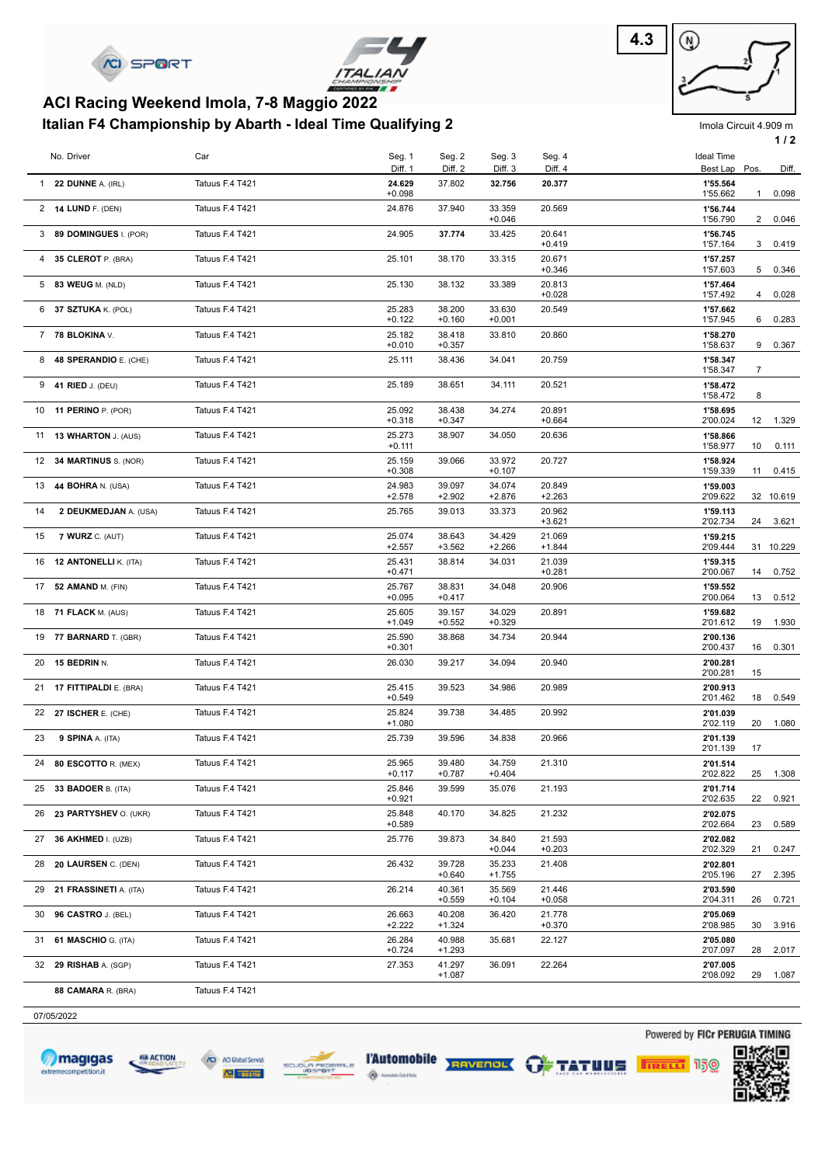



# **Italian F4 Championship by Abarth - Ideal Time Qualifying 2 ACI Racing Weekend Imola, 7-8 Maggio 2022**



Imola Circuit 4.909 m

|    |                                 |                 |                    |                    |                    |                    |                      |              | 1/2       |
|----|---------------------------------|-----------------|--------------------|--------------------|--------------------|--------------------|----------------------|--------------|-----------|
|    | No. Driver                      | Car             | Seg. 1             | Seg. 2             | Seg. 3             | Seg. 4             | <b>Ideal Time</b>    |              |           |
|    |                                 |                 | Diff. 1            | Diff. 2            | Diff. 3            | Diff. 4            | Best Lap             | Pos.         | Diff.     |
|    | 1 22 DUNNE A. (IRL)             | Tatuus F.4 T421 | 24.629<br>$+0.098$ | 37.802             | 32.756             | 20.377             | 1'55.564<br>1'55.662 | $\mathbf{1}$ | 0.098     |
|    | 2 14 LUND F. (DEN)              | Tatuus F.4 T421 | 24.876             | 37.940             | 33.359<br>$+0.046$ | 20.569             | 1'56.744<br>1'56.790 | $\mathbf{2}$ | 0.046     |
|    | 3 89 DOMINGUES I. (POR)         | Tatuus F.4 T421 | 24.905             | 37.774             | 33.425             | 20.641<br>$+0.419$ | 1'56.745<br>1'57.164 | 3            | 0.419     |
|    | 4 35 CLEROT P. (BRA)            | Tatuus F.4 T421 | 25.101             | 38.170             | 33.315             | 20.671<br>$+0.346$ | 1'57.257<br>1'57.603 | 5            | 0.346     |
|    | 5 83 WEUG M. (NLD)              | Tatuus F.4 T421 | 25.130             | 38.132             | 33.389             | 20.813             | 1'57.464             |              |           |
|    | 6 37 SZTUKA K. (POL)            | Tatuus F.4 T421 | 25.283             | 38.200             | 33.630             | $+0.028$<br>20.549 | 1'57.492<br>1'57.662 | 4            | 0.028     |
|    | 7 78 BLOKINA V.                 | Tatuus F.4 T421 | $+0.122$<br>25.182 | $+0.160$<br>38.418 | $+0.001$<br>33.810 | 20.860             | 1'57.945<br>1'58.270 | 6            | 0.283     |
|    | 8 48 SPERANDIO E. (CHE)         | Tatuus F.4 T421 | $+0.010$<br>25.111 | $+0.357$<br>38.436 | 34.041             | 20.759             | 1'58.637<br>1'58.347 | 9            | 0.367     |
|    |                                 | Tatuus F.4 T421 |                    |                    |                    |                    | 1'58.347             | 7            |           |
|    | 9 41 RIED J. (DEU)              |                 | 25.189             | 38.651             | 34.111             | 20.521             | 1'58.472<br>1'58.472 | 8            |           |
|    | 10 11 PERINO P. (POR)           | Tatuus F.4 T421 | 25.092<br>$+0.318$ | 38.438<br>$+0.347$ | 34.274             | 20.891<br>$+0.664$ | 1'58.695<br>2'00.024 | 12           | 1.329     |
|    | 11 13 WHARTON J. (AUS)          | Tatuus F.4 T421 | 25.273<br>$+0.111$ | 38.907             | 34.050             | 20.636             | 1'58.866<br>1'58.977 | 10           | 0.111     |
|    | 12 34 MARTINUS S. (NOR)         | Tatuus F.4 T421 | 25.159<br>$+0.308$ | 39.066             | 33.972<br>$+0.107$ | 20.727             | 1'58.924<br>1'59.339 | 11           | 0.415     |
|    | 13 <b>44 BOHRA</b> N. (USA)     | Tatuus F.4 T421 | 24.983             | 39.097             | 34.074             | 20.849             | 1'59.003             |              |           |
| 14 | 2 DEUKMEDJAN A. (USA)           | Tatuus F.4 T421 | $+2.578$<br>25.765 | $+2.902$<br>39.013 | $+2.876$<br>33.373 | $+2.263$<br>20.962 | 2'09.622<br>1'59.113 |              | 32 10.619 |
| 15 | <b>7 WURZ C. (AUT)</b>          | Tatuus F.4 T421 | 25.074             | 38.643             | 34.429             | $+3.621$<br>21.069 | 2'02.734<br>1'59.215 | 24           | 3.621     |
|    |                                 |                 | $+2.557$           | $+3.562$           | $+2.266$           | $+1.844$           | 2'09.444             |              | 31 10.229 |
|    | 16 12 <b>ANTONELLI</b> K. (ITA) | Tatuus F.4 T421 | 25.431<br>$+0.471$ | 38.814             | 34.031             | 21.039<br>$+0.281$ | 1'59.315<br>2'00.067 | 14           | 0.752     |
|    | 17 52 AMAND M. (FIN)            | Tatuus F.4 T421 | 25.767<br>$+0.095$ | 38.831<br>$+0.417$ | 34.048             | 20.906             | 1'59.552<br>2'00.064 | 13           | 0.512     |
|    | 18 71 FLACK M. (AUS)            | Tatuus F.4 T421 | 25.605<br>$+1.049$ | 39.157<br>$+0.552$ | 34.029<br>$+0.329$ | 20.891             | 1'59.682<br>2'01.612 | 19           | 1.930     |
|    | 19 77 BARNARD T. (GBR)          | Tatuus F.4 T421 | 25.590<br>$+0.301$ | 38.868             | 34.734             | 20.944             | 2'00.136<br>2'00.437 | 16           | 0.301     |
|    | 20 15 BEDRIN N.                 | Tatuus F.4 T421 | 26.030             | 39.217             | 34.094             | 20.940             | 2'00.281<br>2'00.281 | 15           |           |
|    | 21 17 FITTIPALDI E. (BRA)       | Tatuus F.4 T421 | 25.415<br>$+0.549$ | 39.523             | 34.986             | 20.989             | 2'00.913<br>2'01.462 | 18           | 0.549     |
|    | 22 27 ISCHER E. (CHE)           | Tatuus F.4 T421 | 25.824<br>$+1.080$ | 39.738             | 34.485             | 20.992             | 2'01.039<br>2'02.119 | 20           | 1.080     |
| 23 | 9 SPINA A. (ITA)                | Tatuus F.4 T421 | 25.739             | 39.596             | 34.838             | 20.966             | 2'01.139             |              |           |
|    | 24 80 ESCOTTO R. (MEX)          | Tatuus F.4 T421 | 25.965             | 39.480             | 34.759             | 21.310             | 2'01.139<br>2'01.514 | 17           |           |
|    | 25 33 BADOER B. (ITA)           | Tatuus F.4 T421 | $+0.117$<br>25.846 | $+0.787$<br>39.599 | $+0.404$<br>35.076 | 21.193             | 2'02.822<br>2'01.714 | 25           | 1.308     |
|    | 26 23 PARTYSHEV O. (UKR)        | Tatuus F.4 T421 | $+0.921$<br>25.848 | 40.170             | 34.825             | 21.232             | 2'02.635<br>2'02.075 | 22           | 0.921     |
|    | 27 36 AKHMED I. (UZB)           | Tatuus F.4 T421 | $+0.589$<br>25.776 | 39.873             | 34.840             | 21.593             | 2'02.664<br>2'02.082 | 23           | 0.589     |
|    |                                 |                 |                    |                    | $+0.044$           | $+0.203$           | 2'02.329             | 21           | 0.247     |
|    | 28 20 LAURSEN C. (DEN)          | Tatuus F.4 T421 | 26.432             | 39.728<br>$+0.640$ | 35.233<br>$+1.755$ | 21.408             | 2'02.801<br>2'05.196 | 27           | 2.395     |
|    | 29 21 FRASSINETI A. (ITA)       | Tatuus F.4 T421 | 26.214             | 40.361<br>$+0.559$ | 35.569<br>$+0.104$ | 21.446<br>$+0.058$ | 2'03.590<br>2'04.311 | 26           | 0.721     |
|    | 30 96 CASTRO J. (BEL)           | Tatuus F.4 T421 | 26.663<br>$+2.222$ | 40.208<br>$+1.324$ | 36.420             | 21.778<br>$+0.370$ | 2'05.069<br>2'08.985 | 30           | 3.916     |
|    | 31 61 MASCHIO G. (ITA)          | Tatuus F.4 T421 | 26.284<br>$+0.724$ | 40.988<br>$+1.293$ | 35.681             | 22.127             | 2'05.080<br>2'07.097 | 28           | 2.017     |
|    | 32 29 RISHAB A. (SGP)           | Tatuus F.4 T421 | 27.353             | 41.297<br>$+1.087$ | 36.091             | 22.264             | 2'07.005<br>2'08.092 | 29           | 1.087     |
|    | 88 CAMARA R. (BRA)              | Tatuus F.4 T421 |                    |                    |                    |                    |                      |              |           |
|    |                                 |                 |                    |                    |                    |                    |                      |              |           |

07/05/2022









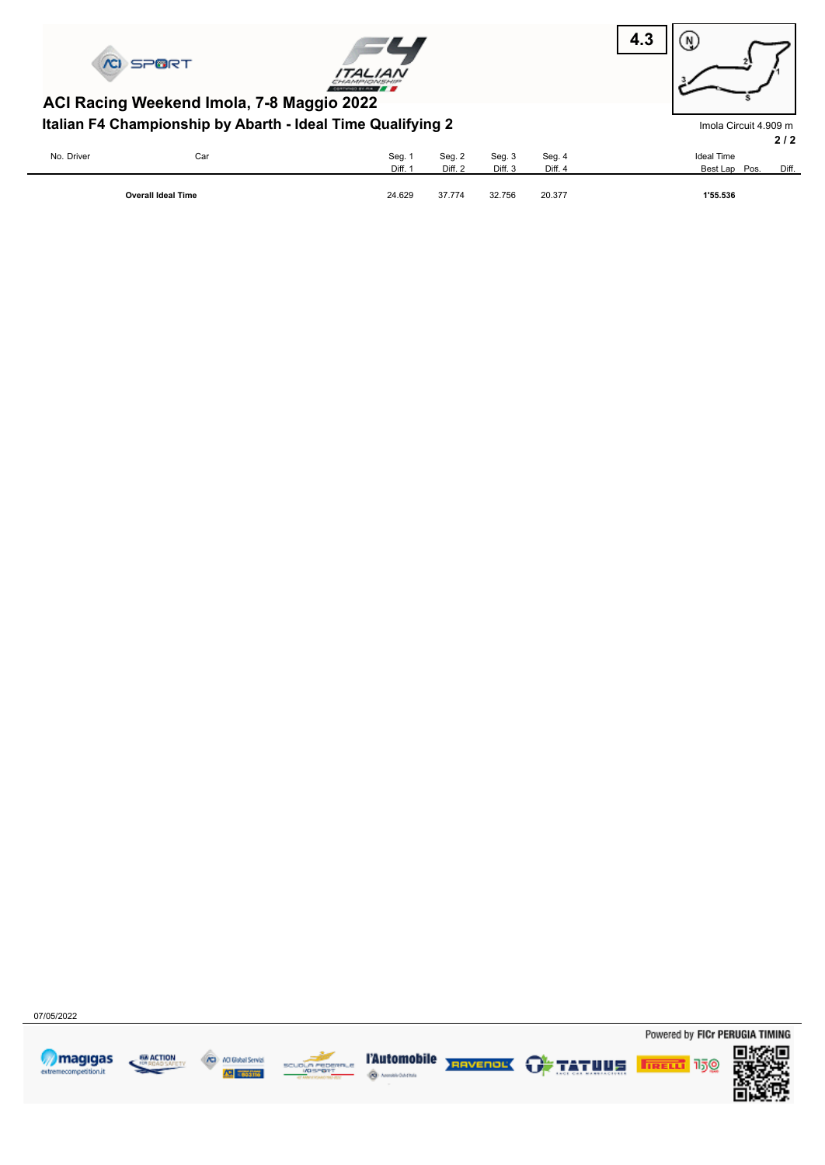





Imola Circuit 4.909 m

# **Italian F4 Championship by Abarth - Ideal Time Qualifying 2 ACI Racing Weekend Imola, 7-8 Maggio 2022**

|            |                           |         |         |                    |         | 2/2                    |
|------------|---------------------------|---------|---------|--------------------|---------|------------------------|
| No. Driver | Car                       | Seg. 1  | Seg. 2  | Seg. 3             | Seg. 4  | <b>Ideal Time</b>      |
|            |                           | Diff. 1 | Diff. 2 | Diff. <sub>3</sub> | Diff. 4 | Diff.<br>Best Lap Pos. |
|            | <b>Overall Ideal Time</b> | 24.629  | 37.774  | 32.756             | 20.377  | 1'55.536               |

07/05/2022









ه چ diama



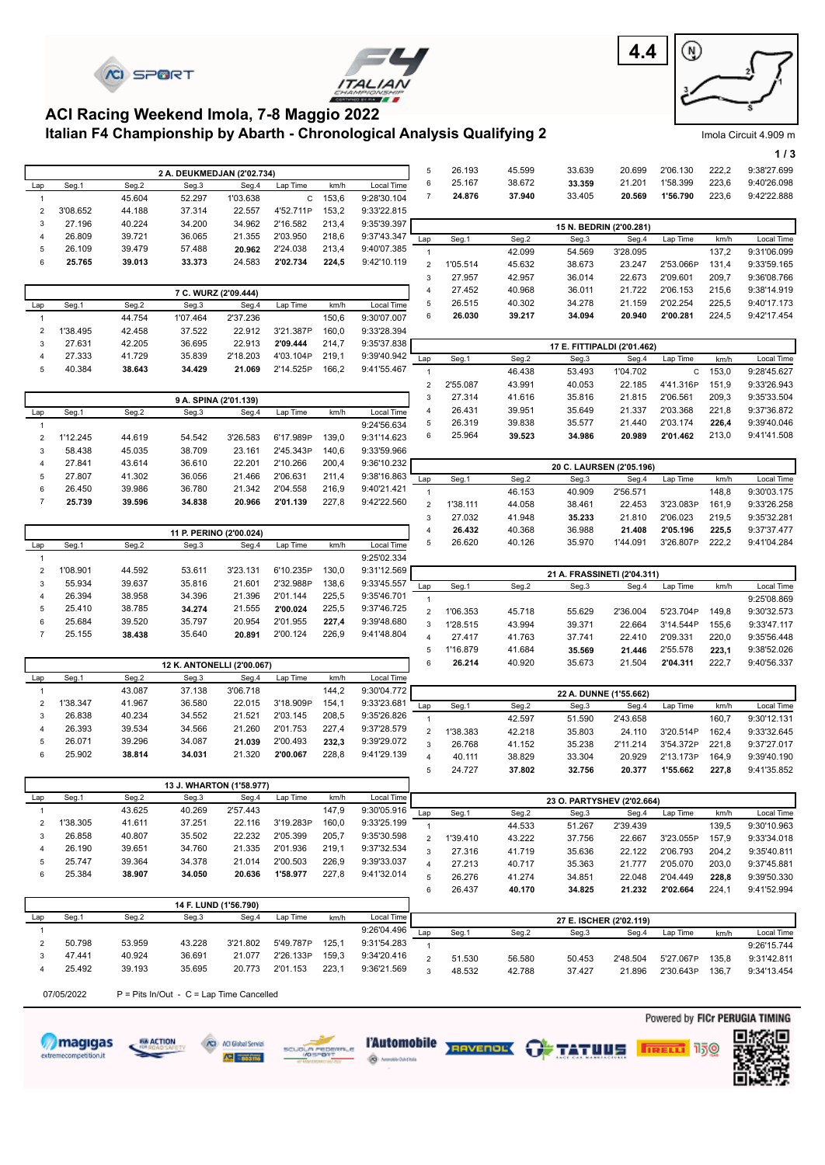



T.



Imola Circuit 4.909 m

**1 / 3**

## **Italian F4 Championship by Abarth - Chronological Analysis Qualifying 2 ACI Racing Weekend Imola, 7-8 Maggio 2022**

|                         |            |        | 2 A. DEUKMEDJAN (2'02.734)               |                         |             |       |             | $\mathbf 5$               | 26.193   | 45.599 | 33.639                      | 20.699                   | 2'06.130    | 222,2 | 9:38'27.699 |
|-------------------------|------------|--------|------------------------------------------|-------------------------|-------------|-------|-------------|---------------------------|----------|--------|-----------------------------|--------------------------|-------------|-------|-------------|
| Lap                     | Seg.1      | Seg.2  | Seg.3                                    | Seg.4                   | Lap Time    | km/h  | Local Time  | 6                         | 25.167   | 38.672 | 33.359                      | 21.201                   | 1'58.399    | 223,6 | 9:40'26.098 |
| $\mathbf{1}$            |            | 45.604 | 52.297                                   | 1'03.638                | $\mathsf C$ | 153,6 | 9:28'30.104 | $\overline{7}$            | 24.876   | 37.940 | 33.405                      | 20.569                   | 1'56.790    | 223,6 | 9:42'22.888 |
| $\overline{\mathbf{c}}$ | 3'08.652   | 44.188 | 37.314                                   | 22.557                  | 4'52.711P   | 153,2 | 9:33'22.815 |                           |          |        |                             |                          |             |       |             |
| 3                       | 27.196     | 40.224 | 34.200                                   | 34.962                  | 2'16.582    | 213,4 | 9:35'39.397 |                           |          |        |                             | 15 N. BEDRIN (2'00.281)  |             |       |             |
| 4                       | 26.809     | 39.721 | 36.065                                   | 21.355                  | 2'03.950    | 218,6 | 9:37'43.347 | Lap                       | Seg.1    | Seg.2  | Seg.3                       | Seg.4                    | Lap Time    | km/h  | Local Time  |
| 5                       | 26.109     | 39.479 | 57.488                                   | 20.962                  | 2'24.038    | 213,4 | 9:40'07.385 | $\mathbf{1}$              |          | 42.099 | 54.569                      | 3'28.095                 |             | 137,2 | 9:31'06.099 |
| 6                       | 25.765     | 39.013 | 33.373                                   | 24.583                  | 2'02.734    | 224,5 | 9:42'10.119 | $\overline{2}$            | 1'05.514 | 45.632 | 38.673                      | 23.247                   | 2'53.066P   | 131,4 | 9:33'59.165 |
|                         |            |        |                                          |                         |             |       |             | $\ensuremath{\mathsf{3}}$ | 27.957   |        | 36.014                      | 22.673                   | 2'09.601    | 209,7 | 9:36'08.766 |
|                         |            |        |                                          |                         |             |       |             |                           |          | 42.957 |                             |                          |             |       |             |
|                         |            |        | 7 C. WURZ (2'09.444)                     |                         |             |       |             | 4                         | 27.452   | 40.968 | 36.011                      | 21.722                   | 2'06.153    | 215,6 | 9:38'14.919 |
| Lap                     | Seg.1      | Seg.2  | Seg.3                                    | Seg.4                   | Lap Time    | km/h  | Local Time  | 5                         | 26.515   | 40.302 | 34.278                      | 21.159                   | 2'02.254    | 225,5 | 9:40'17.173 |
| $\overline{1}$          |            | 44.754 | 1'07.464                                 | 2'37.236                |             | 150,6 | 9:30'07.007 | 6                         | 26.030   | 39.217 | 34.094                      | 20.940                   | 2'00.281    | 224,5 | 9:42'17.454 |
| $\overline{\mathbf{c}}$ | 1'38.495   | 42.458 | 37.522                                   | 22.912                  | 3'21.387P   | 160,0 | 9:33'28.394 |                           |          |        |                             |                          |             |       |             |
| 3                       | 27.631     | 42.205 | 36.695                                   | 22.913                  | 2'09.444    | 214,7 | 9:35'37.838 |                           |          |        | 17 E. FITTIPALDI (2'01.462) |                          |             |       |             |
| 4                       | 27.333     | 41.729 | 35.839                                   | 2'18.203                | 4'03.104P   | 219,1 | 9:39'40.942 | Lap                       | Seg.1    | Seg.2  | Seg.3                       | Seg.4                    | Lap Time    | km/h  | Local Time  |
| 5                       | 40.384     | 38.643 | 34.429                                   | 21.069                  | 2'14.525P   | 166,2 | 9:41'55.467 | $\mathbf{1}$              |          | 46.438 | 53.493                      | 1'04.702                 | $\mathbf C$ | 153,0 | 9:28'45.627 |
|                         |            |        |                                          |                         |             |       |             | $\boldsymbol{2}$          | 2'55.087 | 43.991 | 40.053                      | 22.185                   | 4'41.316P   | 151,9 | 9:33'26.943 |
|                         |            |        |                                          | 9 A. SPINA (2'01.139)   |             |       |             | $\ensuremath{\mathsf{3}}$ | 27.314   | 41.616 | 35.816                      | 21.815                   | 2'06.561    | 209,3 | 9:35'33.504 |
| Lap                     | Seg.1      | Seg.2  | Seg.3                                    | Seg.4                   | Lap Time    | km/h  | Local Time  | $\overline{4}$            | 26.431   | 39.951 | 35.649                      | 21.337                   | 2'03.368    | 221,8 | 9:37'36.872 |
| $\overline{1}$          |            |        |                                          |                         |             |       | 9:24'56.634 | 5                         | 26.319   | 39.838 | 35.577                      | 21.440                   | 2'03.174    | 226,4 | 9:39'40.046 |
|                         | 1'12.245   | 44.619 | 54.542                                   | 3'26.583                | 6'17.989P   | 139,0 | 9:31'14.623 | 6                         | 25.964   | 39.523 | 34.986                      | 20.989                   | 2'01.462    | 213,0 | 9:41'41.508 |
| $\overline{\mathbf{c}}$ |            |        |                                          |                         |             |       |             |                           |          |        |                             |                          |             |       |             |
| 3                       | 58.438     | 45.035 | 38.709                                   | 23.161                  | 2'45.343P   | 140,6 | 9:33'59.966 |                           |          |        |                             |                          |             |       |             |
| 4                       | 27.841     | 43.614 | 36.610                                   | 22.201                  | 2'10.266    | 200,4 | 9:36'10.232 |                           |          |        |                             | 20 C. LAURSEN (2'05.196) |             |       |             |
| 5                       | 27.807     | 41.302 | 36.056                                   | 21.466                  | 2'06.631    | 211,4 | 9:38'16.863 | Lap                       | Seg.1    | Seg.2  | Seg.3                       | Seg.4                    | Lap Time    | km/h  | Local Time  |
| 6                       | 26.450     | 39.986 | 36.780                                   | 21.342                  | 2'04.558    | 216,9 | 9:40'21.421 | $\mathbf{1}$              |          | 46.153 | 40.909                      | 2'56.571                 |             | 148,8 | 9:30'03.175 |
| $\overline{7}$          | 25.739     | 39.596 | 34.838                                   | 20.966                  | 2'01.139    | 227,8 | 9:42'22.560 | $\sqrt{2}$                | 1'38.111 | 44.058 | 38.461                      | 22.453                   | 3'23.083P   | 161,9 | 9:33'26.258 |
|                         |            |        |                                          |                         |             |       |             | $\ensuremath{\mathsf{3}}$ | 27.032   | 41.948 | 35.233                      | 21.810                   | 2'06.023    | 219,5 | 9:35'32.281 |
|                         |            |        |                                          | 11 P. PERINO (2'00.024) |             |       |             | $\sqrt{4}$                | 26.432   | 40.368 | 36.988                      | 21.408                   | 2'05.196    | 225,5 | 9:37'37.477 |
| Lap                     | Seg.1      | Seg.2  | Seg.3                                    | Seg.4                   | Lap Time    | km/h  | Local Time  | $\mathbf 5$               | 26.620   | 40.126 | 35.970                      | 1'44.091                 | 3'26.807P   | 222,2 | 9:41'04.284 |
| $\overline{1}$          |            |        |                                          |                         |             |       | 9:25'02.334 |                           |          |        |                             |                          |             |       |             |
| $\overline{\mathbf{c}}$ | 1'08.901   | 44.592 | 53.611                                   | 3'23.131                | 6'10.235P   | 130,0 | 9:31'12.569 |                           |          |        | 21 A. FRASSINETI (2'04.311) |                          |             |       |             |
| 3                       | 55.934     | 39.637 | 35.816                                   | 21.601                  | 2'32.988P   | 138,6 | 9:33'45.557 | Lap                       | Seg.1    | Seg.2  | Seg.3                       | Seg.4                    | Lap Time    | km/h  | Local Time  |
| 4                       | 26.394     | 38.958 | 34.396                                   | 21.396                  | 2'01.144    | 225,5 | 9:35'46.701 | $\mathbf{1}$              |          |        |                             |                          |             |       | 9:25'08.869 |
| 5                       | 25.410     | 38.785 | 34.274                                   | 21.555                  | 2'00.024    | 225,5 | 9:37'46.725 | $\overline{2}$            | 1'06.353 | 45.718 | 55.629                      | 2'36.004                 | 5'23.704P   | 149,8 | 9:30'32.573 |
| 6                       | 25.684     | 39.520 | 35.797                                   | 20.954                  | 2'01.955    | 227,4 | 9:39'48.680 | 3                         | 1'28.515 | 43.994 | 39.371                      | 22.664                   | 3'14.544P   | 155,6 | 9:33'47.117 |
| $\overline{7}$          | 25.155     | 38.438 | 35.640                                   | 20.891                  | 2'00.124    | 226,9 | 9:41'48.804 | $\overline{4}$            |          |        |                             |                          |             |       |             |
|                         |            |        |                                          |                         |             |       |             |                           | 27.417   | 41.763 | 37.741                      | 22.410                   | 2'09.331    | 220,0 | 9:35'56.448 |
|                         |            |        |                                          |                         |             |       |             | $\mathbf 5$               | 1'16.879 | 41.684 | 35.569                      | 21.446                   | 2'55.578    | 223,1 | 9:38'52.026 |
|                         |            |        | 12 K. ANTONELLI (2'00.067)               |                         |             |       |             | 6                         | 26.214   | 40.920 | 35.673                      | 21.504                   | 2'04.311    | 222,7 | 9:40'56.337 |
| Lap                     | Seg.1      | Seg.2  | Seg.3                                    | Seg.4                   | Lap Time    | km/h  | Local Time  |                           |          |        |                             |                          |             |       |             |
| $\overline{1}$          |            | 43.087 | 37.138                                   | 3'06.718                |             | 144,2 | 9:30'04.772 |                           |          |        |                             | 22 A. DUNNE (1'55.662)   |             |       |             |
| $\overline{\mathbf{c}}$ | 1'38.347   | 41.967 | 36.580                                   | 22.015                  | 3'18.909P   | 154,1 | 9:33'23.681 | Lap                       | Seg.1    | Seg.2  | Seg.3                       | Seg.4                    | Lap Time    | km/h  | Local Time  |
| 3                       | 26.838     | 40.234 | 34.552                                   | 21.521                  | 2'03.145    | 208,5 | 9:35'26.826 | $\mathbf{1}$              |          | 42.597 | 51.590                      | 2'43.658                 |             | 160,7 | 9:30'12.131 |
| 4                       | 26.393     | 39.534 | 34.566                                   | 21.260                  | 2'01.753    | 227,4 | 9:37'28.579 | $\overline{2}$            | 1'38.383 | 42.218 | 35.803                      | 24.110                   | 3'20.514P   | 162,4 | 9:33'32.645 |
| 5                       | 26.071     | 39.296 | 34.087                                   | 21.039                  | 2'00.493    | 232,3 | 9:39'29.072 | $\mathbf{3}$              | 26.768   | 41.152 | 35.238                      | 2'11.214                 | 3'54.372P   | 221,8 | 9:37'27.017 |
| 6                       | 25.902     | 38.814 | 34.031                                   | 21.320                  | 2'00.067    | 228,8 | 9:41'29.139 | $\overline{4}$            | 40.111   | 38.829 | 33.304                      | 20.929                   | 2'13.173P   | 164,9 | 9:39'40.190 |
|                         |            |        |                                          |                         |             |       |             | 5                         | 24.727   | 37.802 | 32.756                      | 20.377                   | 1'55.662    | 227,8 | 9:41'35.852 |
|                         |            |        | 13 J. WHARTON (1'58.977)                 |                         |             |       |             |                           |          |        |                             |                          |             |       |             |
| Lap                     | Seg.1      | Seg.2  | Seg.3                                    | Seg.4                   | Lap Time    | km/h  | Local Time  |                           |          |        |                             |                          |             |       |             |
| $\mathbf{1}$            |            | 43.625 | 40.269                                   | 2'57.443                |             | 147,9 | 9:30'05.916 |                           |          |        | 23 O. PARTYSHEV (2'02.664)  |                          |             |       |             |
| $\overline{\mathbf{c}}$ | 1'38.305   | 41.611 | 37.251                                   | 22.116                  | 3'19.283P   | 160,0 | 9:33'25.199 | Lap                       | Seg.1    | Seg.2  | Seg.3                       | Seg.4                    | Lap Time    | km/h  | Local Time  |
| 3                       | 26.858     | 40.807 | 35.502                                   | 22.232                  | 2'05.399    | 205,7 | 9:35'30.598 | $\mathbf{1}$              |          | 44.533 | 51.267                      | 2'39.439                 |             | 139,5 | 9:30'10.963 |
| 4                       | 26.190     | 39.651 | 34.760                                   | 21.335                  | 2'01.936    |       | 9:37'32.534 | $\overline{2}$            | 1'39.410 | 43.222 | 37.756                      | 22.667                   | 3'23.055P   | 157,9 | 9:33'34.018 |
|                         |            |        |                                          |                         |             | 219,1 |             | $\mathsf 3$               | 27.316   | 41.719 | 35.636                      | 22.122                   | 2'06.793    | 204,2 | 9:35'40.811 |
| 5                       | 25.747     | 39.364 | 34.378                                   | 21.014                  | 2'00.503    | 226,9 | 9:39'33.037 | $\overline{4}$            | 27.213   | 40.717 | 35.363                      | 21.777                   | 2'05.070    | 203,0 | 9:37'45.881 |
| 6                       | 25.384     | 38.907 | 34.050                                   | 20.636                  | 1'58.977    | 227,8 | 9:41'32.014 | 5                         | 26.276   | 41.274 | 34.851                      | 22.048                   | 2'04.449    | 228,8 | 9:39'50.330 |
|                         |            |        |                                          |                         |             |       |             | 6                         | 26.437   | 40.170 | 34.825                      | 21.232                   | 2'02.664    | 224,1 | 9:41'52.994 |
|                         |            |        |                                          | 14 F. LUND (1'56.790)   |             |       |             |                           |          |        |                             |                          |             |       |             |
| Lap                     | Seg.1      | Seg.2  | Seg.3                                    | Seg.4                   | Lap Time    | km/h  | Local Time  |                           |          |        |                             | 27 E. ISCHER (2'02.119)  |             |       |             |
| $\overline{1}$          |            |        |                                          |                         |             |       | 9:26'04.496 | Lap                       | Seg.1    | Seg.2  | Seg.3                       | Seg.4                    | Lap Time    | km/h  | Local Time  |
| $\overline{\mathbf{c}}$ |            |        | 43.228                                   | 3'21.802                | 5'49.787P   | 125,1 | 9:31'54.283 | $\mathbf{1}$              |          |        |                             |                          |             |       | 9:26'15.744 |
|                         | 50.798     | 53.959 |                                          |                         |             |       |             |                           |          |        |                             |                          |             |       |             |
| 3                       | 47.441     | 40.924 | 36.691                                   | 21.077                  | 2'26.133P   | 159,3 | 9:34'20.416 |                           |          |        |                             |                          |             |       |             |
| 4                       | 25.492     | 39.193 | 35.695                                   | 20.773                  | 2'01.153    | 223,1 | 9:36'21.569 | $\mathbf 2$               | 51.530   | 56.580 | 50.453                      | 2'48.504                 | 5'27.067P   | 135,8 | 9:31'42.811 |
|                         |            |        |                                          |                         |             |       |             | $\mathbf{3}$              | 48.532   | 42.788 | 37.427                      | 21.896                   | 2'30.643P   | 136,7 | 9:34'13.454 |
|                         | 07/05/2022 |        | P = Pits In/Out - C = Lap Time Cancelled |                         |             |       |             |                           |          |        |                             |                          |             |       |             |















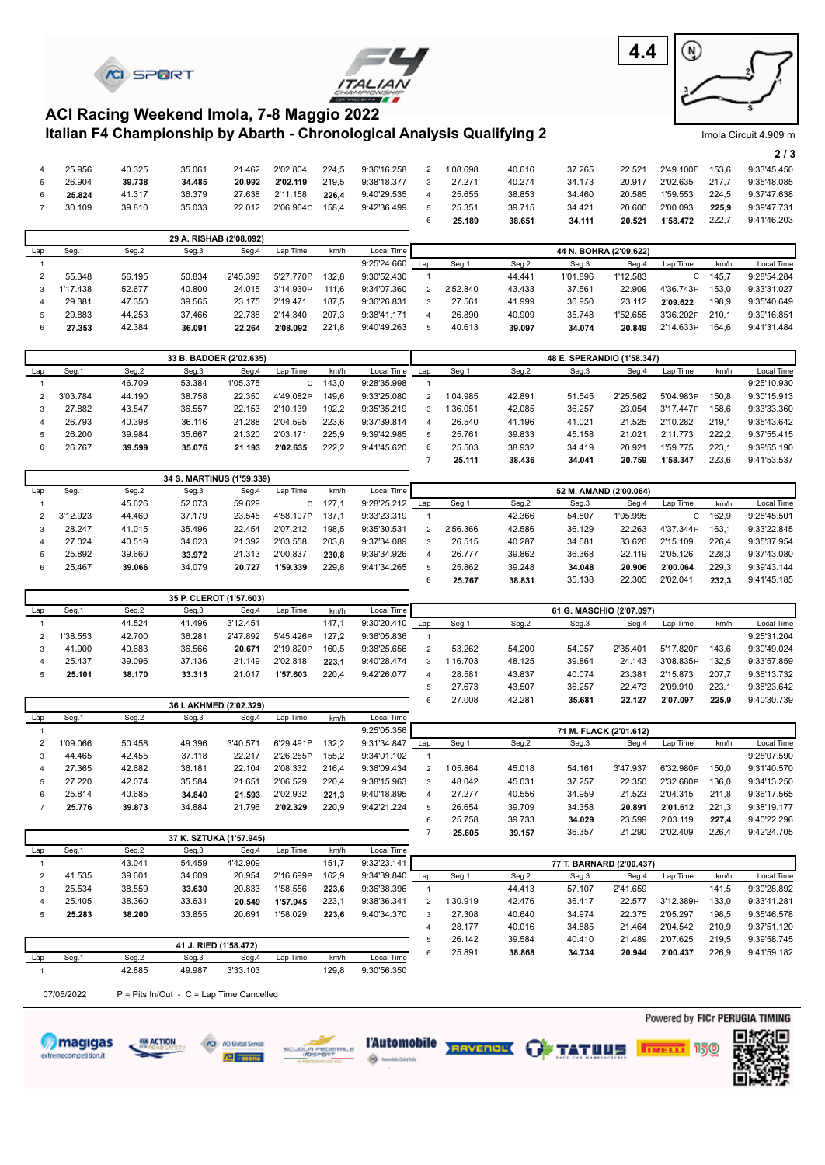





Imola Circuit 4.909 m

## **Italian F4 Championship by Abarth - Chronological Analysis Qualifying 2 ACI Racing Weekend Imola, 7-8 Maggio 2022**

|   |        |        |        |        |           |       |             |          |        |        |        |           |       | 2/3         |
|---|--------|--------|--------|--------|-----------|-------|-------------|----------|--------|--------|--------|-----------|-------|-------------|
|   | 25.956 | 40.325 | 35.061 | 21.462 | 2'02.804  | 224.5 | 9:36'16.258 | 1'08.698 | 40.616 | 37.265 | 22.521 | 2'49.100P | 153.6 | 9:33'45.450 |
|   | 26.904 | 39.738 | 34.485 | 20.992 | 2'02.119  | 219.5 | 9:38'18.377 | 27.271   | 40.274 | 34.173 | 20.917 | 2'02.635  | 217.7 | 9:35'48.085 |
| 6 | 25.824 | 41.317 | 36.379 | 27.638 | 2'11.158  | 226.4 | 9:40'29.535 | 25.655   | 38.853 | 34.460 | 20.585 | 1'59.553  | 224.5 | 9:37'47.638 |
|   | 30.109 | 39.810 | 35.033 | 22.012 | 2'06.964C | 158.4 | 9:42'36.499 | 25.351   | 39.715 | 34.421 | 20.606 | 2'00.093  | 225.9 | 9:39'47.731 |
|   |        |        |        |        |           |       |             | 25.189   | 38.651 | 34.111 | 20.521 | 1'58.472  | 222.7 | 9:41'46.203 |

|         |        | 29 A. RISHAB (2'08.092) |          |           |       |             |     |          |        |                        |          |           |       |             |
|---------|--------|-------------------------|----------|-----------|-------|-------------|-----|----------|--------|------------------------|----------|-----------|-------|-------------|
| Seg.    | Seg.2  | Seg.3                   | Seg.4    | Lap Time  | km/h  | Local Time  |     |          |        | 44 N. BOHRA (2'09.622) |          |           |       |             |
|         |        |                         |          |           |       | 9:25'24.660 | Lap | Seg.     | Seg.2  | Seg.3                  | Seg.4    | Lap Time  | km/h  | Local Time  |
| 55.348  | 56.195 | 50.834                  | 2'45.393 | 5'27.770P | 132.8 | 9:30'52.430 |     |          | 44.441 | 1'01.896               | 1'12.583 |           | 145.7 | 9:28'54.284 |
| '17.438 | 52.677 | 40.800                  | 24.015   | 3'14.930P | 111.6 | 9:34'07.360 |     | 2'52.840 | 43.433 | 37.561                 | 22.909   | 4'36.743P | 153.0 | 9:33'31.027 |
| 29.381  | 47.350 | 39.565                  | 23.175   | 2'19.471  | 187.5 | 9:36'26.831 |     | 27.561   | 41.999 | 36.950                 | 23.112   | 2'09.622  | 198,9 | 9:35'40.649 |
| 29.883  | 44.253 | 37.466                  | 22.738   | 2'14.340  | 207.3 | 9:38'41.171 |     | 26.890   | 40.909 | 35.748                 | 1'52.655 | 3'36.202P | 210.1 | 9:39'16.851 |
| 27.353  | 42.384 | 36.091                  | 22.264   | 2'08.092  | 221.8 | 9:40'49.263 |     | 40.613   | 39.097 | 34.074                 | 20.849   | 2'14.633P | 164.6 | 9:41'31.484 |

|     |          |        | 33 B. BADOER (2'02.635) |          |           |       |             |     |          |        | 48 E. SPERANDIO (1'58.347) |          |           |       |             |
|-----|----------|--------|-------------------------|----------|-----------|-------|-------------|-----|----------|--------|----------------------------|----------|-----------|-------|-------------|
| Lap | Seg.1    | Seg.2  | Seg.3                   | Seg.4    | Lap Time  | km/h  | Local Time  | Lap | Seg.1    | Seg.2  | Seg.3                      | Seg.4    | Lap Time  | km/h  | Local Time  |
|     |          | 46.709 | 53.384                  | 1'05.375 |           | 143.0 | 9:28'35.998 |     |          |        |                            |          |           |       | 9:25'10.930 |
|     | 3'03.784 | 44.190 | 38.758                  | 22.350   | 4'49.082P | 149.6 | 9:33'25.080 |     | 1'04.985 | 42.891 | 51.545                     | 2'25.562 | 5'04.983P | 150.8 | 9:30'15.913 |
|     | 27.882   | 43.547 | 36.557                  | 22.153   | 2'10.139  | 192.2 | 9:35'35.219 | ર   | 1'36.051 | 42.085 | 36.257                     | 23.054   | 3'17.447P | 158.6 | 9:33'33.360 |
|     | 26.793   | 40.398 | 36.116                  | 21.288   | 2'04.595  | 223.6 | 9:37'39.814 |     | 26.540   | 41.196 | 41.021                     | 21.525   | 2'10.282  | 219.1 | 9:35'43.642 |
|     | 26.200   | 39.984 | 35.667                  | 21.320   | 2'03.171  | 225.9 | 9:39'42.985 |     | 25.761   | 39.833 | 45.158                     | 21.021   | 2'11.773  | 222.2 | 9:37'55.415 |
| 6   | 26.767   | 39.599 | 35.076                  | 21.193   | 2'02.635  | 222,2 | 9:41'45.620 | ĥ   | 25.503   | 38.932 | 34.419                     | 20.921   | 1'59.775  | 223.1 | 9:39'55.190 |
|     |          |        |                         |          |           |       |             |     | 25.111   | 38.436 | 34.041                     | 20.759   | 1'58.347  | 223.6 | 9:41'53.537 |

|     |          |        | 34 S. MARTINUS (1'59.339) |        |           |       |             |     |          |        |                        |          |           |       |             |
|-----|----------|--------|---------------------------|--------|-----------|-------|-------------|-----|----------|--------|------------------------|----------|-----------|-------|-------------|
| Lap | Seg.1    | Seg.2  | Seg.3                     | Seg.4  | Lap Time  | km/h  | Local Time  |     |          |        | 52 M. AMAND (2'00.064) |          |           |       |             |
|     |          | 45.626 | 52.073                    | 59.629 | С         | 127.7 | 9:28'25.212 | Lap | Seg.1    | Seg.2  | Seg.3                  | Seg.4    | Lap Time  | km/h  | Local Time  |
|     | 3'12.923 | 44.460 | 37.179                    | 23.545 | 4'58.107P | 137.  | 9:33'23.319 |     |          | 42.366 | 54.807                 | 1'05.995 | C.        | 162.9 | 9:28'45.501 |
|     | 28.247   | 41.015 | 35.496                    | 22.454 | 2'07.212  | 198.5 | 9:35'30.531 |     | 2'56.366 | 42.586 | 36.129                 | 22.263   | 4'37.344P | 163.1 | 9:33'22.845 |
|     | 27.024   | 40.519 | 34.623                    | 21.392 | 2'03.558  | 203.8 | 9:37'34.089 | 3   | 26.515   | 40.287 | 34.681                 | 33.626   | 2'15.109  | 226.4 | 9:35'37.954 |
|     | 25.892   | 39.660 | 33.972                    | 21.313 | 2'00.837  | 230.8 | 9:39'34.926 |     | 26,777   | 39.862 | 36.368                 | 22.119   | 2'05.126  | 228.3 | 9:37'43.080 |
|     | 25.467   | 39,066 | 34.079                    | 20.727 | 1'59.339  | 229.8 | 9:41'34.265 |     | 25.862   | 39.248 | 34.048                 | 20.906   | 2'00.064  | 229.3 | 9:39'43.144 |
|     |          |        |                           |        |           |       |             |     | 25.767   | 38.831 | 35.138                 | 22.305   | 2'02.041  | 232.3 | 9:41'45.185 |

|     |         |        |        | 35 P. CLEROT (1'57.603) |           |       |             |     |          |        |                          |          |           |       |             |
|-----|---------|--------|--------|-------------------------|-----------|-------|-------------|-----|----------|--------|--------------------------|----------|-----------|-------|-------------|
| Lap | Seg.1   | Seg.2  | Seg.3  | Seg.4                   | Lap Time  | km/h  | Local Time  |     |          |        | 61 G. MASCHIO (2'07.097) |          |           |       |             |
|     |         | 44.524 | 41.496 | 3'12.451                |           | 147.1 | 9:30'20.410 | Lap | Seg.1    | Seg.2  | Seg.3                    | Seg.4    | Lap Time  | km/h  | Local Time  |
|     | '38.553 | 42.700 | 36.281 | 2'47.892                | 5'45.426P | 127.2 | 9:36'05.836 |     |          |        |                          |          |           |       | 9:25'31.204 |
|     | 41.900  | 40.683 | 36.566 | 20.671                  | 2'19.820P | 160.5 | 9:38'25.656 |     | 53.262   | 54.200 | 54.957                   | 2'35.401 | 5'17.820P | 143.6 | 9:30'49.024 |
|     | 25.437  | 39.096 | 37.136 | 21.149                  | 2'02.818  | 223.1 | 9:40'28.474 | 3   | 1'16.703 | 48.125 | 39.864                   | 24.143   | 3'08.835P | 132.5 | 9:33'57.859 |
|     | 25.101  | 38.170 | 33.315 | 21.017                  | 1'57.603  | 220,4 | 9:42'26.077 | Δ   | 28.581   | 43.837 | 40.074                   | 23.381   | 2'15.873  | 207.7 | 9:36'13.732 |
|     |         |        |        |                         |           |       |             | 5   | 27.673   | 43.507 | 36.257                   | 22.473   | 2'09.910  | 223.1 | 9:38'23.642 |
|     |         |        |        |                         |           |       |             |     | 27 008   | 42 281 | 35.681                   | 22.127   | 2'07.097  | 225.9 | 9.4030739   |

|     | 36 I. AKHMED (2'02.329) |        |        |          |           |       |             |                        | 27,008   | 42.281 | 35.681 | 22.127   | 2'07.097  | 225.9 | 9:40'30.739 |
|-----|-------------------------|--------|--------|----------|-----------|-------|-------------|------------------------|----------|--------|--------|----------|-----------|-------|-------------|
| Lap | Seg.1                   | Seg.2  | Seg.3  | Seg.4    | Lap Time  | km/h  | Local Time  |                        |          |        |        |          |           |       |             |
|     |                         |        |        |          |           |       | 9:25'05.356 | 71 M. FLACK (2'01.612) |          |        |        |          |           |       |             |
|     | 1'09.066                | 50.458 | 49.396 | 3'40.571 | 6'29.491P | 132.2 | 9:31'34.847 | Lap                    | Seg.1    | Seg.2  | Seg.3  | Seg.4    | Lap Time  | km/h  | Local Time  |
|     | 44.465                  | 42.455 | 37.118 | 22.217   | 2'26.255P | 155.2 | 9:34'01.102 |                        |          |        |        |          |           |       | 9:25'07.590 |
|     | 27.365                  | 42.682 | 36.181 | 22.104   | 2'08.332  | 216.4 | 9:36'09.434 | $\mathcal{P}$          | 1'05.864 | 45.018 | 54.161 | 3'47.937 | 6'32.980P | 150.0 | 9:31'40.570 |
|     | 27.220                  | 42.074 | 35.584 | 21.651   | 2'06.529  | 220.4 | 9:38'15.963 | 3                      | 48.042   | 45.031 | 37.257 | 22,350   | 2'32.680P | 136.0 | 9:34'13.250 |
| 6   | 25.814                  | 40.685 | 34.840 | 21.593   | 2'02.932  | 221.3 | 9:40'18.895 | 4                      | 27.277   | 40.556 | 34.959 | 21.523   | 2'04.315  | 211.8 | 9:36'17.565 |
|     | 25.776                  | 39.873 | 34.884 | 21.796   | 2'02.329  | 220,9 | 9:42'21.224 |                        | 26.654   | 39.709 | 34.358 | 20.891   | 2'01.612  | 221.3 | 9:38'19.177 |
|     |                         |        |        |          |           |       |             |                        | 25.758   | 39.733 | 34.029 | 23.599   | 2'03.119  | 227.4 | 9:40'22.296 |

|     |                                                                          |        |        | 37 K. SZTUKA (1'57.945) |           |       |             |     | 25.605   | 39.157 | 36.357                   | 21.290   | 2'02.409  | 226.4 | 9:42'24.705 |
|-----|--------------------------------------------------------------------------|--------|--------|-------------------------|-----------|-------|-------------|-----|----------|--------|--------------------------|----------|-----------|-------|-------------|
| Lap | Seg.1                                                                    | Seg.2  | Seg.3  | Sea.4                   | Lap Time  | km/h  | Local Time  |     |          |        |                          |          |           |       |             |
|     |                                                                          | 43.041 | 54.459 | 4'42.909                |           | 151.7 | 9:32'23.141 |     |          |        | 77 T. BARNARD (2'00.437) |          |           |       |             |
|     | 41.535                                                                   | 39.601 | 34.609 | 20.954                  | 2'16.699P | 162.9 | 9:34'39.840 | Lap | Seg.1    | Seg.2  | Seg.3                    | Seg.4    | Lap Time  | km/h  | Local Time  |
|     | 25.534                                                                   | 38.559 | 33.630 | 20.833                  | 1'58.556  | 223.6 | 9:36'38.396 |     |          | 44.413 | 57.107                   | 2'41.659 |           | 141.5 | 9:30'28.892 |
|     | 25.405                                                                   | 38.360 | 33.631 | 20.549                  | 1'57.945  | 223.1 | 9:38'36.341 |     | 1'30.919 | 42.476 | 36.417                   | 22.577   | 3'12.389P | 133.0 | 9:33'41.281 |
| 5   | 25.283                                                                   | 38.200 | 33.855 | 20.691                  | 1'58.029  | 223.6 | 9:40'34.370 | 3   | 27.308   | 40.640 | 34.974                   | 22.375   | 2'05.297  | 198.5 | 9:35'46.578 |
|     |                                                                          |        |        |                         |           |       |             |     | 28.177   | 40.016 | 34.885                   | 21.464   | 2'04.542  | 210.9 | 9:37'51.120 |
|     |                                                                          |        |        |                         |           |       |             |     | 26.142   | 39.584 | 40.410                   | 21.489   | 2'07.625  | 219.5 | 9:39'58.745 |
|     | 41 J. RIED (1'58.472)<br>$\sim$<br>$\sim$<br>- -<br>- -<br>$\sim$ $\sim$ |        |        |                         |           |       |             |     | 25.891   | 38.868 | 34.734                   | 20.944   | 2'00.437  | 226.9 | 9:41'59.182 |

|     | 41 J. RIED (1'58.472) |        |        |          |          |       |             |  |  |  |  |  |  |
|-----|-----------------------|--------|--------|----------|----------|-------|-------------|--|--|--|--|--|--|
| Lap | Sea.                  | Seg.2  | Seg.3  | Sea.4    | Lap Time | km/h  | Local Time  |  |  |  |  |  |  |
|     |                       | 42.885 | 49.987 | 3'33.103 |          | 129.8 | 9:30'56.350 |  |  |  |  |  |  |

07/05/2022  $P =$  Pits In/Out - C = Lap Time Cancelled











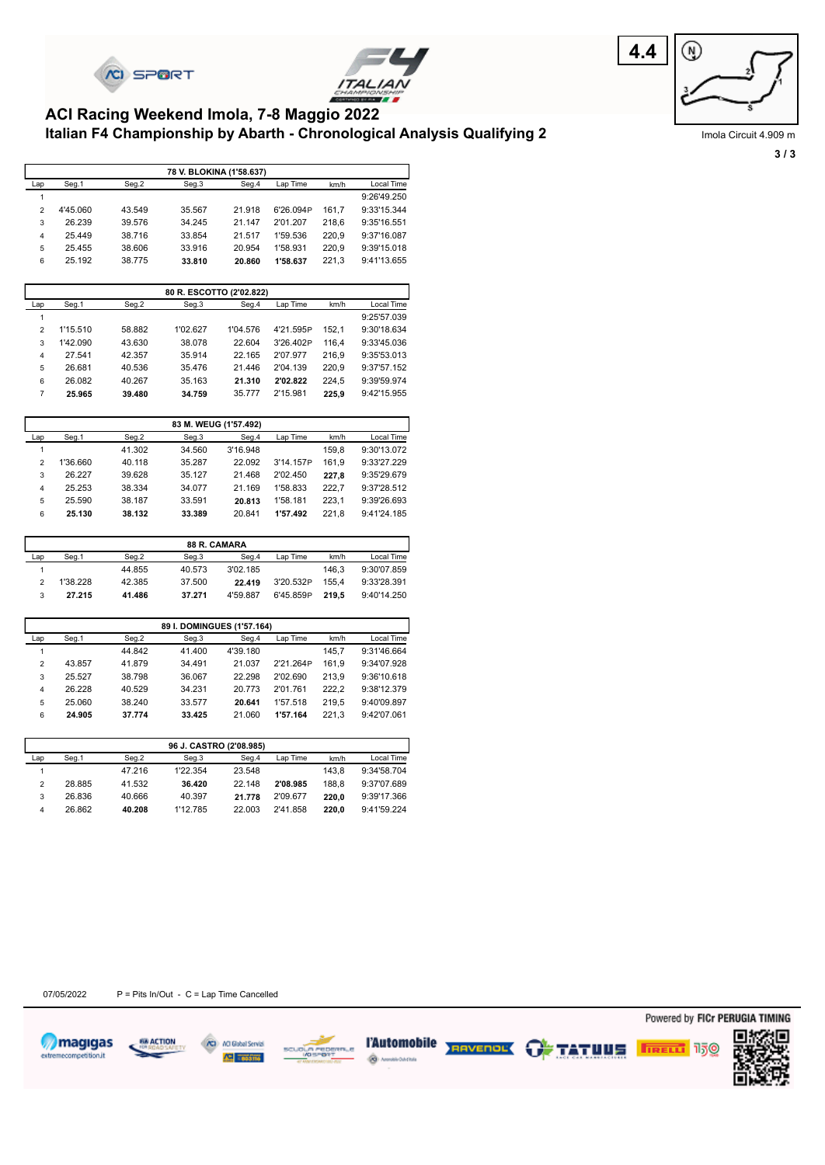



## **Italian F4 Championship by Abarth - Chronological Analysis Qualifying 2 ACI Racing Weekend Imola, 7-8 Maggio 2022**



Imola Circuit 4.909 m **3 / 3**

|                | 78 V. BLOKINA (1'58.637) |        |        |        |           |       |             |  |  |  |  |  |  |
|----------------|--------------------------|--------|--------|--------|-----------|-------|-------------|--|--|--|--|--|--|
| Lap            | Seg.1                    | Seg.2  | Seg.3  | Seg.4  | Lap Time  | km/h  | Local Time  |  |  |  |  |  |  |
|                |                          |        |        |        |           |       | 9:26'49.250 |  |  |  |  |  |  |
| $\overline{2}$ | 4'45.060                 | 43.549 | 35.567 | 21.918 | 6'26.094P | 161.7 | 9:33'15.344 |  |  |  |  |  |  |
| 3              | 26.239                   | 39.576 | 34.245 | 21.147 | 2'01.207  | 218.6 | 9:35'16.551 |  |  |  |  |  |  |
| 4              | 25.449                   | 38.716 | 33.854 | 21.517 | 1'59.536  | 220.9 | 9:37'16.087 |  |  |  |  |  |  |
| 5              | 25.455                   | 38.606 | 33.916 | 20.954 | 1'58.931  | 220.9 | 9:39'15.018 |  |  |  |  |  |  |
| 6              | 25.192                   | 38.775 | 33.810 | 20.860 | 1'58.637  | 221,3 | 9:41'13.655 |  |  |  |  |  |  |

|                | 80 R. ESCOTTO (2'02.822) |        |          |          |           |            |             |  |  |  |  |  |  |
|----------------|--------------------------|--------|----------|----------|-----------|------------|-------------|--|--|--|--|--|--|
| Lap            | Seg.1                    | Seg.2  | Seg.3    | Lap Time | km/h      | Local Time |             |  |  |  |  |  |  |
|                |                          |        |          |          |           |            | 9:25'57.039 |  |  |  |  |  |  |
| $\overline{2}$ | 1'15.510                 | 58.882 | 1'02.627 | 1'04.576 | 4'21.595P | 152.1      | 9:30'18.634 |  |  |  |  |  |  |
| 3              | 1'42.090                 | 43.630 | 38.078   | 22.604   | 3'26.402P | 116.4      | 9:33'45.036 |  |  |  |  |  |  |
| $\overline{4}$ | 27.541                   | 42.357 | 35.914   | 22.165   | 2'07.977  | 216.9      | 9:35'53.013 |  |  |  |  |  |  |
| 5              | 26.681                   | 40.536 | 35.476   | 21.446   | 2'04.139  | 220.9      | 9:37'57.152 |  |  |  |  |  |  |
| 6              | 26.082                   | 40.267 | 35.163   | 21.310   | 2'02.822  | 224.5      | 9:39'59.974 |  |  |  |  |  |  |
| 7              | 25.965                   | 39.480 | 34.759   | 35.777   | 2'15.981  | 225.9      | 9:42'15.955 |  |  |  |  |  |  |

|                | 83 M. WEUG (1'57.492) |        |        |          |           |       |             |  |  |  |  |  |
|----------------|-----------------------|--------|--------|----------|-----------|-------|-------------|--|--|--|--|--|
| Lap            | Seg.1                 | Seg.2  | Seg.3  | Seg.4    | Lap Time  | km/h  | Local Time  |  |  |  |  |  |
|                |                       | 41.302 | 34.560 | 3'16.948 |           | 159.8 | 9:30'13.072 |  |  |  |  |  |
| $\overline{2}$ | 1'36.660              | 40.118 | 35.287 | 22.092   | 3'14.157P | 161.9 | 9:33'27.229 |  |  |  |  |  |
| 3              | 26.227                | 39.628 | 35.127 | 21.468   | 2'02.450  | 227.8 | 9:35'29.679 |  |  |  |  |  |
| 4              | 25.253                | 38.334 | 34.077 | 21.169   | 1'58.833  | 222.7 | 9:37'28.512 |  |  |  |  |  |
| 5              | 25.590                | 38.187 | 33.591 | 20.813   | 1'58.181  | 223.1 | 9:39'26.693 |  |  |  |  |  |
| 6              | 25.130                | 38.132 | 33.389 | 20.841   | 1'57.492  | 221.8 | 9:41'24.185 |  |  |  |  |  |

|     | <b>88 R. CAMARA</b> |        |        |          |           |       |             |  |  |  |  |  |  |
|-----|---------------------|--------|--------|----------|-----------|-------|-------------|--|--|--|--|--|--|
| Lap | Seg.1               | Seg.2  | Seg.3  | Seg.4    | Lap Time  | km/h  | Local Time  |  |  |  |  |  |  |
|     |                     | 44.855 | 40.573 | 3'02.185 |           | 146.3 | 9:30'07.859 |  |  |  |  |  |  |
|     | 1'38.228            | 42.385 | 37.500 | 22.419   | 3'20.532P | 155.4 | 9:33'28.391 |  |  |  |  |  |  |
| 3   | 27.215              | 41.486 | 37.271 | 4'59.887 | 6'45.859P | 219.5 | 9:40'14.250 |  |  |  |  |  |  |

|                | 89 I. DOMINGUES (1'57.164) |        |        |          |           |       |             |  |  |  |  |  |
|----------------|----------------------------|--------|--------|----------|-----------|-------|-------------|--|--|--|--|--|
| Lap            | Seg.1                      | Seg.2  | Seg.3  | Seg.4    | Lap Time  | km/h  | Local Time  |  |  |  |  |  |
|                |                            | 44.842 | 41.400 | 4'39.180 |           | 145.7 | 9:31'46.664 |  |  |  |  |  |
| $\overline{2}$ | 43.857                     | 41.879 | 34.491 | 21.037   | 2'21.264P | 161.9 | 9:34'07.928 |  |  |  |  |  |
| 3              | 25.527                     | 38.798 | 36.067 | 22.298   | 2'02.690  | 213.9 | 9:36'10.618 |  |  |  |  |  |
| 4              | 26.228                     | 40.529 | 34.231 | 20.773   | 2'01.761  | 222.2 | 9:38'12.379 |  |  |  |  |  |
| 5              | 25.060                     | 38.240 | 33.577 | 20.641   | 1'57.518  | 219.5 | 9:40'09.897 |  |  |  |  |  |
| 6              | 24.905                     | 37.774 | 33.425 | 21.060   | 1'57.164  | 221.3 | 9:42'07.061 |  |  |  |  |  |

|     | 96 J. CASTRO (2'08.985) |        |          |        |          |       |             |  |  |  |  |  |  |
|-----|-------------------------|--------|----------|--------|----------|-------|-------------|--|--|--|--|--|--|
| Lap | Seg.1                   | Seg.2  | Seg.3    | Seg.4  | Lap Time | km/h  | Local Time  |  |  |  |  |  |  |
|     |                         | 47.216 | 1'22.354 | 23.548 |          | 143.8 | 9:34'58.704 |  |  |  |  |  |  |
| 2   | 28.885                  | 41.532 | 36.420   | 22.148 | 2'08.985 | 188.8 | 9:37'07.689 |  |  |  |  |  |  |
| 3   | 26.836                  | 40.666 | 40.397   | 21.778 | 2'09.677 | 220.0 | 9:39'17.366 |  |  |  |  |  |  |
| 4   | 26.862                  | 40.208 | 1'12.785 | 22.003 | 2'41.858 | 220.0 | 9:41'59.224 |  |  |  |  |  |  |













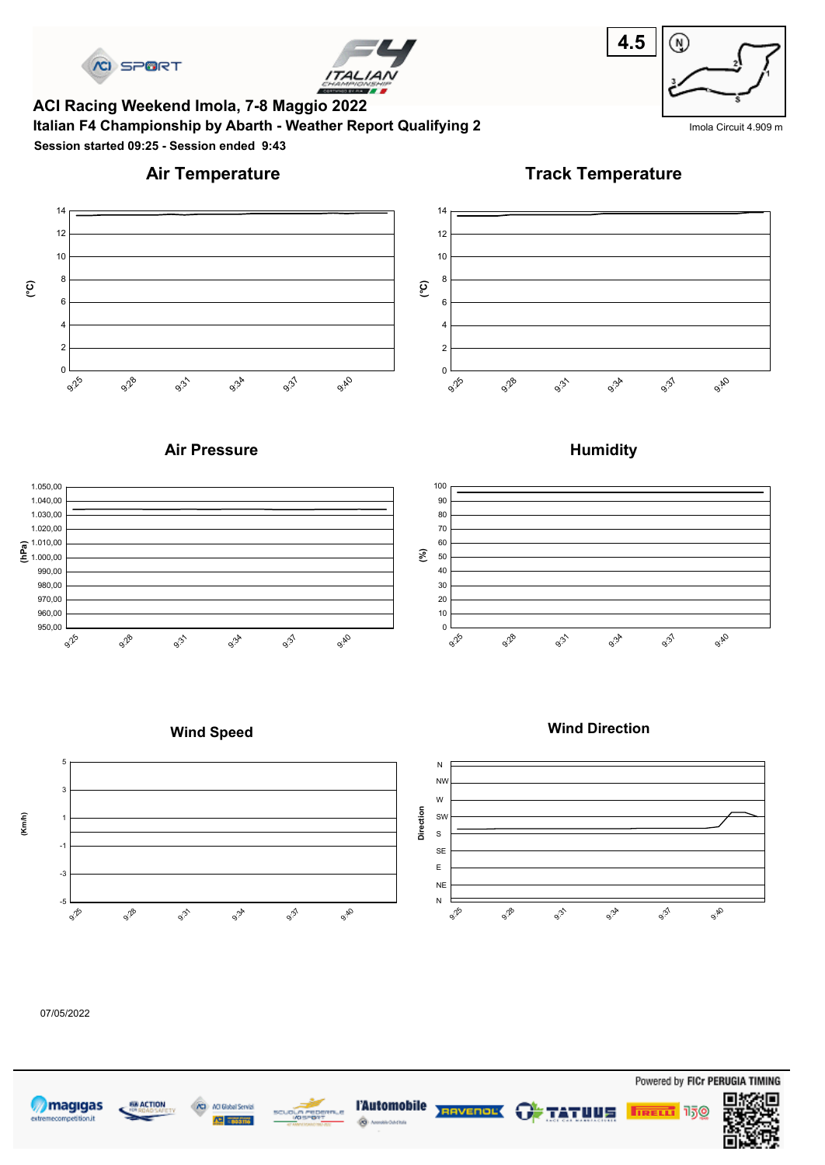



**Italian F4 Championship by Abarth - Weather Report Qualifying 2** India Circuit 4.909 m **ACI Racing Weekend Imola, 7-8 Maggio 2022 Session started 09:25 - Session ended 9:43**



# **Air Temperature**

**Track Temperature**



## **Air Pressure**







**Wind Direction**

#### **Wind Speed**



#### 07/05/2022









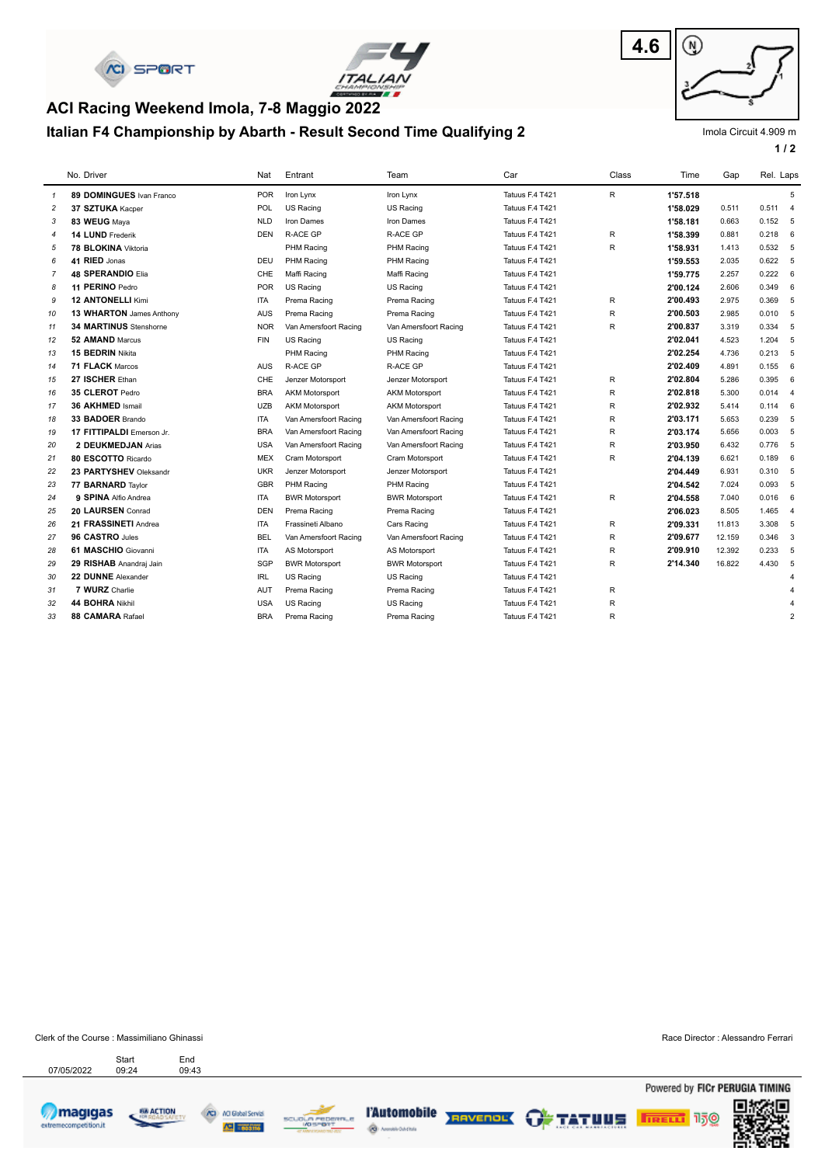



# **Italian F4 Championship by Abarth - Result Second Time Qualifying 2 ACI Racing Weekend Imola, 7-8 Maggio 2022**



Imola Circuit 4.909 m

**1 / 2**

|                | No. Driver                    | Nat        | Entrant               | Team                  | Car             | Class        | Time     | Gap    | Rel. Laps   |                       |
|----------------|-------------------------------|------------|-----------------------|-----------------------|-----------------|--------------|----------|--------|-------------|-----------------------|
| $\overline{1}$ | 89 DOMINGUES Ivan Franco      | <b>POR</b> | Iron Lynx             | Iron Lynx             | Tatuus F.4 T421 | $\mathsf{R}$ | 1'57.518 |        |             | 5                     |
| $\overline{c}$ | 37 SZTUKA Kacper              | <b>POL</b> | US Racing             | US Racing             | Tatuus F.4 T421 |              | 1'58.029 | 0.511  | 0.511 4     |                       |
| 3              | 83 WEUG Maya                  | <b>NLD</b> | Iron Dames            | Iron Dames            | Tatuus F.4 T421 |              | 1'58.181 | 0.663  | $0.152 - 5$ |                       |
| $\overline{4}$ | 14 LUND Frederik              | <b>DEN</b> | R-ACE GP              | R-ACE GP              | Tatuus F.4 T421 | $\mathsf{R}$ | 1'58.399 | 0.881  | 0.218       | 6                     |
| 5              | 78 BLOKINA Viktoria           |            | PHM Racing            | PHM Racing            | Tatuus F.4 T421 | $\mathsf{R}$ | 1'58.931 | 1.413  | 0.532 5     |                       |
| 6              | 41 RIED Jonas                 | <b>DEU</b> | PHM Racing            | PHM Racing            | Tatuus F.4 T421 |              | 1'59.553 | 2.035  | $0.622 - 5$ |                       |
| $\overline{7}$ | <b>48 SPERANDIO Elia</b>      | CHE        | Maffi Racing          | Maffi Racing          | Tatuus F.4 T421 |              | 1'59.775 | 2.257  | 0.222       | 6                     |
| 8              | 11 PERINO Pedro               | <b>POR</b> | US Racing             | US Racing             | Tatuus F.4 T421 |              | 2'00.124 | 2.606  | 0.349       | 6                     |
| 9              | 12 ANTONELLI Kimi             | <b>ITA</b> | Prema Racing          | Prema Racing          | Tatuus F.4 T421 | $\mathsf{R}$ | 2'00.493 | 2.975  | 0.369       | 5                     |
| 10             | 13 WHARTON James Anthony      | <b>AUS</b> | Prema Racing          | Prema Racing          | Tatuus F.4 T421 | $\mathsf{R}$ | 2'00.503 | 2.985  | 0.010       | 5                     |
| 11             | <b>34 MARTINUS Stenshorne</b> | <b>NOR</b> | Van Amersfoort Racing | Van Amersfoort Racing | Tatuus F.4 T421 | $\mathsf{R}$ | 2'00.837 | 3.319  | 0.334       | 5                     |
| 12             | 52 AMAND Marcus               | <b>FIN</b> | US Racing             | US Racing             | Tatuus F.4 T421 |              | 2'02.041 | 4.523  | 1.204 5     |                       |
| 13             | 15 BEDRIN Nikita              |            | PHM Racing            | PHM Racing            | Tatuus F.4 T421 |              | 2'02.254 | 4.736  | 0.213 5     |                       |
| 14             | 71 FLACK Marcos               | <b>AUS</b> | R-ACE GP              | <b>R-ACE GP</b>       | Tatuus F.4 T421 |              | 2'02.409 | 4.891  | 0.155       | 6                     |
| 15             | 27 ISCHER Ethan               | CHE        | Jenzer Motorsport     | Jenzer Motorsport     | Tatuus F.4 T421 | $\mathsf{R}$ | 2'02.804 | 5.286  | 0.395       | 6                     |
| 16             | 35 CLEROT Pedro               | <b>BRA</b> | <b>AKM Motorsport</b> | <b>AKM Motorsport</b> | Tatuus F.4 T421 | $\mathsf{R}$ | 2'02.818 | 5.300  | 0.014       | $\overline{4}$        |
| 17             | 36 AKHMED Ismail              | <b>UZB</b> | <b>AKM Motorsport</b> | <b>AKM Motorsport</b> | Tatuus F.4 T421 | $\mathsf{R}$ | 2'02.932 | 5.414  | 0.114       | 6                     |
| 18             | 33 BADOER Brando              | <b>ITA</b> | Van Amersfoort Racing | Van Amersfoort Racing | Tatuus F.4 T421 | $\mathsf R$  | 2'03.171 | 5.653  | 0.239       | 5                     |
| 19             | 17 FITTIPALDI Emerson Jr.     | <b>BRA</b> | Van Amersfoort Racing | Van Amersfoort Racing | Tatuus F.4 T421 | $\mathsf{R}$ | 2'03.174 | 5.656  | 0.003       | 5                     |
| 20             | 2 DEUKMEDJAN Arias            | <b>USA</b> | Van Amersfoort Racing | Van Amersfoort Racing | Tatuus F.4 T421 | $\mathsf{R}$ | 2'03.950 | 6.432  | 0.776       | 5                     |
| 21             | 80 ESCOTTO Ricardo            | MEX        | Cram Motorsport       | Cram Motorsport       | Tatuus F.4 T421 | $\mathsf{R}$ | 2'04.139 | 6.621  | 0.189       | 6                     |
| 22             | 23 PARTYSHEV Oleksandr        | <b>UKR</b> | Jenzer Motorsport     | Jenzer Motorsport     | Tatuus F.4 T421 |              | 2'04.449 | 6.931  | 0.310       | 5                     |
| 23             | 77 <b>BARNARD</b> Taylor      | <b>GBR</b> | PHM Racing            | PHM Racing            | Tatuus F.4 T421 |              | 2'04.542 | 7.024  | 0.093       | 5                     |
| 24             | 9 SPINA Alfio Andrea          | <b>ITA</b> | <b>BWR Motorsport</b> | <b>BWR Motorsport</b> | Tatuus F.4 T421 | $\sf R$      | 2'04.558 | 7.040  | 0.016       | 6                     |
| 25             | 20 LAURSEN Conrad             | <b>DEN</b> | Prema Racing          | Prema Racing          | Tatuus F.4 T421 |              | 2'06.023 | 8.505  | 1.465       | $\overline{4}$        |
| 26             | 21 FRASSINETI Andrea          | <b>ITA</b> | Frassineti Albano     | Cars Racing           | Tatuus F.4 T421 | $\mathsf{R}$ | 2'09.331 | 11.813 | 3.308       | 5                     |
| 27             | 96 CASTRO Jules               | <b>BEL</b> | Van Amersfoort Racing | Van Amersfoort Racing | Tatuus F.4 T421 | $\sf R$      | 2'09.677 | 12.159 | 0.346       | $\overline{3}$        |
| 28             | 61 MASCHIO Giovanni           | <b>ITA</b> | AS Motorsport         | AS Motorsport         | Tatuus F.4 T421 | $\mathsf{R}$ | 2'09.910 | 12.392 | 0.233       | 5                     |
| 29             | 29 RISHAB Anandraj Jain       | SGP        | <b>BWR Motorsport</b> | <b>BWR Motorsport</b> | Tatuus F.4 T421 | $\sf R$      | 2'14.340 | 16.822 | 4.430       | 5                     |
| 30             | 22 DUNNE Alexander            | <b>IRL</b> | US Racing             | US Racing             | Tatuus F.4 T421 |              |          |        |             | $\boldsymbol{\Delta}$ |
| 31             | 7 WURZ Charlie                | AUT        | Prema Racing          | Prema Racing          | Tatuus F.4 T421 | $\mathsf{R}$ |          |        |             |                       |
| 32             | 44 BOHRA Nikhil               | <b>USA</b> | US Racing             | US Racing             | Tatuus F.4 T421 | $\mathsf{R}$ |          |        |             |                       |
| 33             | 88 CAMARA Rafael              | <b>BRA</b> | Prema Racing          | Prema Racing          | Tatuus F.4 T421 | $\sf R$      |          |        |             | $\overline{2}$        |

Clerk of the Course : Massimiliano Ghinassi Race Director : Alessandro Ferrari Start End<br>07/05/2022 09:24 09:43 Start











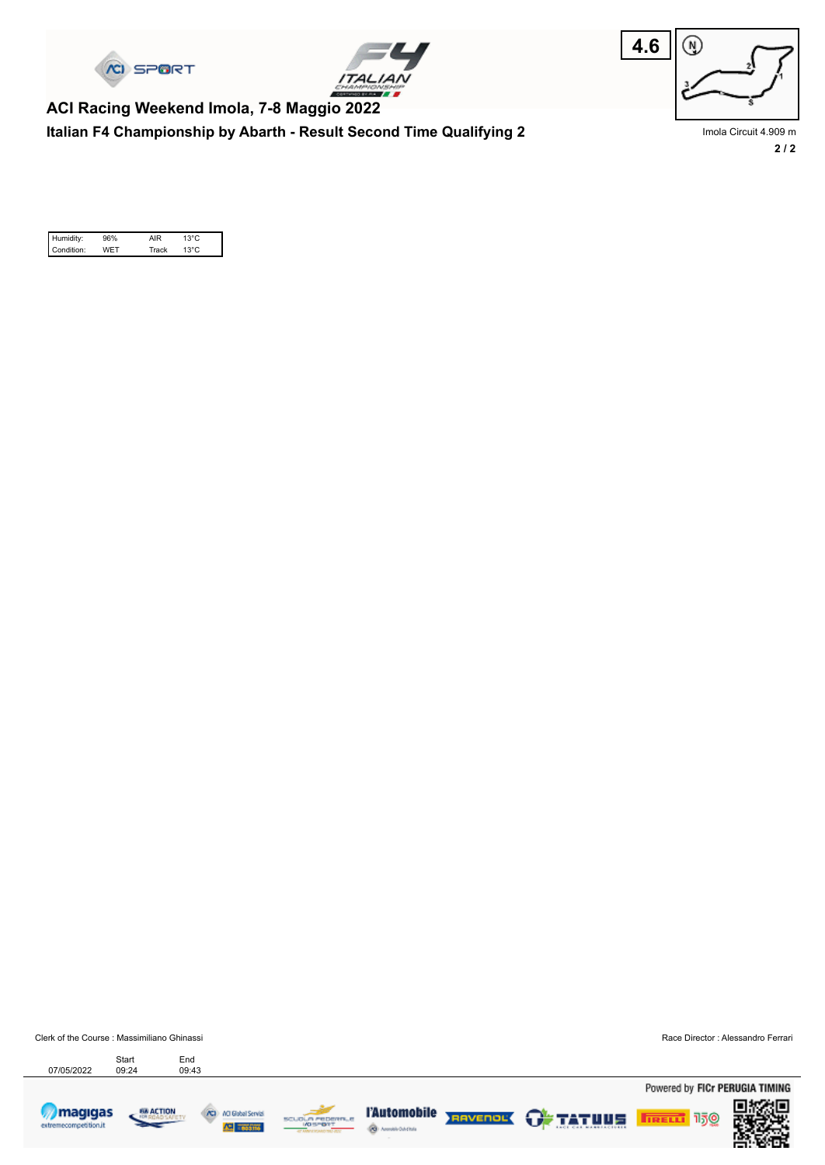





**Italian F4 Championship by Abarth - Result Second Time Qualifying 2 ACI Racing Weekend Imola, 7-8 Maggio 2022**

**2 / 2** Imola Circuit 4.909 m

| Humidity:  | 96% | AIR   | $13^{\circ}$ C |  |
|------------|-----|-------|----------------|--|
| Condition: | WFT | Track | $13^{\circ}$ C |  |

Clerk of the Course : Massimiliano Ghinassi Race Director : Alessandro Ferrari Start End<br>07/05/2022 09:24 09:43 Start









ŵ,



Powered by FICr PERUGIA TIMING

**TRELL** 150